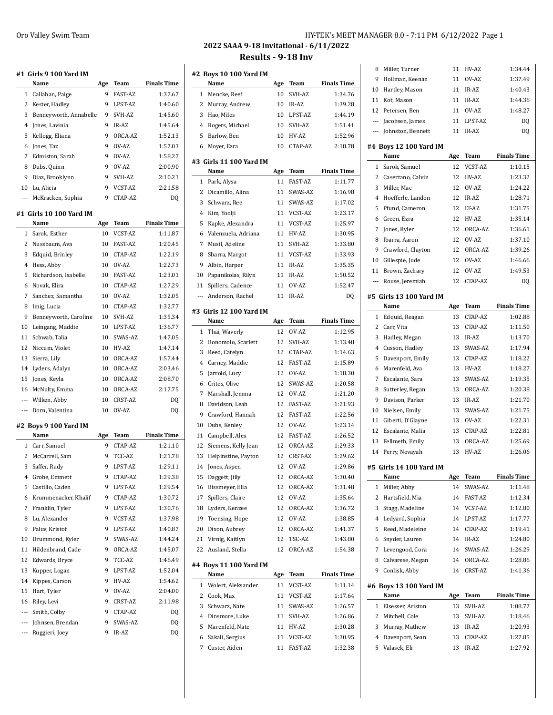|                | #1  Girls 9 100 Yard IM            |          |                  |                    |
|----------------|------------------------------------|----------|------------------|--------------------|
|                | Name                               | Age      | Team             | <b>Finals Time</b> |
| 1              | Callahan, Paige                    | 9        | <b>FAST-AZ</b>   | 1:37.67            |
| 2              | Kester, Hadley                     | 9        | LPST-AZ          | 1:40.60            |
| 3              | Benneyworth, Annabelle             | 9        | SVH-AZ           | 1:45.60            |
| 4              | Jones, Lavinia                     | 9        | IR-AZ            | 1:45.64            |
| 5              | Kellogg, Eliana                    | 9        | ORCA-AZ          | 1:52.13            |
| 6              | Jones, Taz                         | 9        | OV-AZ            | 1:57.03            |
| 7              | Edmiston, Sarah                    | 9        | OV-AZ            | 1:58.27            |
| 8              | Dubs, Quinn                        | 9        | OV-AZ            | 2:00.90            |
| 9              | Diaz, Brooklynn                    | 9        | SVH-AZ           | 2:10.21            |
| 10             | Lu, Alicia                         | 9        | VCST-AZ          | 2:21.58            |
| ---            | McKracken, Sophia                  | 9        | CTAP-AZ          | DQ                 |
|                |                                    |          |                  |                    |
|                | #1  Girls 10 100 Yard IM<br>Name   |          | Team             | <b>Finals Time</b> |
|                |                                    | Age      |                  |                    |
| 1<br>2         | Sarok, Esther                      | 10<br>10 | VCST-AZ          | 1:11.87            |
|                | Nussbaum, Ava                      |          | FAST-AZ          | 1:20.45            |
| 3              | Edquid, Brinley                    | 10       | CTAP-AZ          | 1:22.19            |
| $\overline{4}$ | Hess, Abby                         | 10       | OV-AZ            | 1:22.73            |
| 5              | Richardson, Isabelle               | 10       | <b>FAST-AZ</b>   | 1:23.01            |
| 6              | Novak, Elira                       | 10       | CTAP-AZ          | 1:27.29            |
| 7              | Sanchez, Samantha                  | 10       | OV-AZ            | 1:32.05            |
| 8              | Imig, Lucia                        | 10       | CTAP-AZ          | 1:32.77            |
| 9              | Benneyworth, Caroline              | 10       | SVH-AZ           | 1:35.34            |
| 10             | Leingang, Maddie                   | 10       | LPST-AZ          | 1:36.77            |
| 11             | Schwab, Talia                      | 10       | SWAS-AZ          | 1:47.05            |
| 12             | Niccum, Violet                     | 10       | HV-AZ            | 1:47.14            |
| 13             | Sierra, Lily                       | 10       | ORCA-AZ          | 1:57.44            |
| 14             | Lyders, Adalyn                     | 10       | ORCA-AZ          | 2:03.46            |
| 15             | Jones, Keyla                       | 10       | ORCA-AZ          | 2:08.70            |
|                | McNulty, Emma                      | 10       | ORCA-AZ          | 2:17.75            |
| 16             |                                    |          |                  |                    |
| ---            | Wilken, Abby                       | 10       | CRST-AZ          | DQ                 |
| ---            | Dorn, Valentina                    | 10       | OV-AZ            | DQ                 |
|                | #2 Boys 9 100 Yard IM              |          |                  |                    |
|                | Name                               | Age      | Team             | <b>Finals Time</b> |
| 1              | Carr, Samuel                       | 9        | CTAP-AZ          | 1:21.10            |
| 2              | McCarrell, Sam                     | 9        | TCC-AZ           | 1:21.78            |
|                | 3<br>Saffer, Rudy                  | 9        | LPST-AZ          | 1:29.11            |
| 4              | Grobe, Emmett                      | 9        | CTAP-AZ          | 1:29.38            |
| 5              | Castillo, Caden                    | 9        | LPST-AZ          | 1:29.54            |
| 6              | Krummenacker, Khalif               | 9        | CTAP-AZ          | 1:30.72            |
| 7              | Franklin, Tyler                    | 9        | LPST-AZ          | 1:30.76            |
| 8              | Lu, Alexander                      | 9        | VCST-AZ          | 1:37.98            |
| 9              | Paluv, Kristof                     | 9        | LPST-AZ          | 1:40.87            |
| 10             | Drummond, Kyler                    | 9        | SWAS-AZ          | 1:44.24            |
| 11             | Hildenbrand, Cade                  | 9        | ORCA-AZ          | 1:45.07            |
| 12             | Edwards, Bryce                     | 9        | TCC-AZ           | 1:46.49            |
| 13             | Kupper, Logan                      | 9        | LPST-AZ          | 1:52.04            |
| 14             | Kippes, Carson                     | 9        | HV-AZ            | 1:54.62            |
| 15             | Hart, Tyler                        | 9        | OV-AZ            | 2:04.00            |
| 16             | Riley, Levi                        | 9        | CRST-AZ          | 2:11.98            |
| ---            | Smith, Colby                       | 9        | CTAP-AZ          | DQ                 |
| ---            | Johnsen, Brendan<br>Ruggieri, Joey | 9<br>9   | SWAS-AZ<br>IR-AZ | DQ                 |

|          | #2 Boys 10 100 Yard IM  |     |                |                    |
|----------|-------------------------|-----|----------------|--------------------|
|          | Name                    | Age | Team           | <b>Finals Time</b> |
| 1        | Mencke, Reef            | 10  | SVH-AZ         | 1:34.76            |
| 2        | Murray, Andrew          | 10  | IR-AZ          | 1:39.28            |
| 3        | Hao, Miles              | 10  | LPST-AZ        | 1:44.19            |
| 4        | Rogers, Michael         | 10  | SVH-AZ         | 1:51.41            |
| 5        | Barlow, Ben             | 10  | HV-AZ          | 1:52.96            |
| 6        | Moyer, Ezra             | 10  | CTAP-AZ        | 2:18.78            |
|          | #3 Girls 11 100 Yard IM |     |                |                    |
|          | Name                    | Age | <b>Team</b>    | <b>Finals Time</b> |
| 1        | Park, Alysa             | 11  | <b>FAST-AZ</b> | 1:11.77            |
| 2        | Dicamillo, Alina        | 11  | SWAS-AZ        | 1:16.98            |
| 3        | Schwarz, Ree            | 11  | SWAS-AZ        | 1:17.02            |
| 4        | Kim, Yoolji             | 11  | VCST-AZ        | 1:23.17            |
| 5        | Kapke, Alexandra        | 11  | VCST-AZ        | 1:25.97            |
| 6        | Valenzuela, Adriana     | 11  | HV-AZ          | 1:30.95            |
| 7        | Musil, Adeline          | 11  | SVH-AZ         | 1:33.80            |
| 8        | Sbarra, Margot          | 11  | VCST-AZ        | 1:33.93            |
| 9        | Albin, Harper           | 11  | IR-AZ          | 1:35.35            |
| 10       | Papanikolas, Rilyn      | 11  | IR-AZ          | 1:50.52            |
| 11       | Spillers, Cadence       | 11  | OV-AZ          | 1:52.47            |
| $\cdots$ | Anderson, Rachel        | 11  | IR-AZ          | DQ                 |
|          | #3 Girls 12 100 Yard IM |     |                |                    |
|          | Name                    | Age | Team           | <b>Finals Time</b> |
| 1        | Thai, Waverly           | 12  | OV-AZ          | 1:12.95            |
| 2        | Bonomolo, Scarlett      | 12  | SVH-AZ         | 1:13.48            |
| 3        | Reed, Catelyn           | 12  | CTAP-AZ        | 1:14.63            |
| 4        | Carney, Maddie          | 12  | <b>FAST-AZ</b> | 1:15.89            |
| 5        | Jarrold, Lucy           | 12  | OV-AZ          | 1:18.30            |
| 6        | Crites, Olive           | 12  | SWAS-AZ        | 1:20.58            |
| 7        | Marshall, Jemma         | 12  | OV-AZ          | 1:21.20            |
| 8        | Davidson, Leah          | 12  | <b>FAST-AZ</b> | 1:21.93            |
| 9        | Crawford, Hannah        | 12  | <b>FAST-AZ</b> | 1:22.56            |
| 10       | Dubs, Kenley            | 12  | OV-AZ          | 1:23.14            |
| 11       | Campbell, Alex          | 12  | <b>FAST-AZ</b> | 1:26.52            |
| 12       | Siemens, Kelly Jean     | 12  | ORCA-AZ        | 1:29.33            |
| 13       | Helpinstine, Payton     | 12  | CRST-AZ        | 1:29.62            |
| 14       | Jones, Aspen            | 12  | OV-AZ          | 1:29.86            |
|          | 15 Daggett, Jilly       | 12  | ORCA-AZ        | 1:30.40            |
| 16       | Bissmeyer, Ella         | 12  | ORCA-AZ        | 1.31.48            |
| 17       | Spillers, Claire        | 12  | OV-AZ          | 1:35.64            |
| 18       | Lyders, Kenzee          | 12  | ORCA-AZ        | 1:36.72            |
| 19       | Toensing, Hope          | 12  | OV-AZ          | 1:38.85            |
| 20       | Dixon, Aubrey           | 12  | ORCA-AZ        | 1:41.37            |
| 21       | Virnig, Kaitlyn         | 12  | TSC-AZ         | 1:43.80            |
| 22       | Ausland, Stella         | 12  | ORCA-AZ        | 1:54.38            |
|          | #4 Boys 11 100 Yard IM  |     |                |                    |
|          | Name                    | Age | Team           | <b>Finals Time</b> |
| 1        | Wolert, Aleksander      | 11  | VCST-AZ        | 1:11.14            |
| 2        | Cook, Max               | 11  | VCST-AZ        | 1:17.64            |
| 3        | Schwarz, Nate           | 11  | SWAS-AZ        | 1:26.57            |
| 4        | Dinsmore, Luke          | 11  | SVH-AZ         | 1:26.86            |
| 5        | Marenfeld, Nate         | 11  | HV-AZ          | 1:30.28            |
| 6        | Sakali, Sergius         | 11  | VCST-AZ        | 1:30.95            |
|          | 7 Custer, Aiden         | 11  | FAST-AZ        | 1:32.38            |

| 8              |                                 |          |                    |                    |
|----------------|---------------------------------|----------|--------------------|--------------------|
|                | Miller, Turner                  | 11       | HV-AZ              | 1:34.44            |
| 9              | Hollman, Keenan                 | 11       | OV-AZ              | 1:37.49            |
| 10             | Hartley, Mason                  | 11       | IR-AZ              | 1:40.43            |
| 11             | Kot, Mason                      | 11       | IR-AZ              | 1:44.36            |
| 12             | Petersen. Ben                   | 11       | OV-AZ              | 1:48.27            |
|                | --- Jacobsen, James             | 11       | LPST-AZ            | DQ                 |
| $---$          | Johnston, Bennett               | 11       | IR-AZ              | DQ                 |
|                | #4 Boys 12 100 Yard IM          |          |                    |                    |
|                | Name                            | Age      | Team               | <b>Finals Time</b> |
| $\mathbf{1}$   | Sarok, Samuel                   | 12       | VCST-AZ            | 1:10.15            |
| 2              | Casertano, Calvin               | 12       | HV-AZ              | 1:23.32            |
| 3              | Miller, Mac                     | 12       | OV-AZ              | 1:24.22            |
| 4              | Hoefferle, Landon               | 12       | IR-AZ              | 1:28.71            |
| 5              | Pfund, Cameron                  | 12       | LT-AZ              | 1:31.75            |
| 6              | Green, Ezra                     | 12       | HV-AZ              | 1:35.14            |
| 7              | Jones, Ryler                    | 12       | ORCA-AZ            | 1:36.61            |
| 8              | Ibarra, Aaron                   | 12       | OV-AZ              | 1:37.10            |
| 9              | Crawford, Clayton               | 12       | ORCA-AZ            | 1:39.26            |
| 10             | Gillespie, Jude                 | 12       | OV-AZ              | 1:46.66            |
| 11             | Brown, Zachary                  | 12       | OV-AZ              | 1:49.53            |
| $\overline{a}$ | Rouse, Jeremiah                 | 12       | CTAP-AZ            | D <sub>0</sub>     |
|                |                                 |          |                    |                    |
|                | #5 Girls 13 100 Yard IM         |          |                    |                    |
|                | Name                            | Age      | Team               | <b>Finals Time</b> |
| $\mathbf{1}$   | Edquid, Reagan                  | 13       | CTAP-AZ            | 1:02.88            |
| $\mathbf{2}$   | Carr, Vita                      | 13       | CTAP-AZ            | 1:11.50            |
| 3              | Hadley, Megan                   | 13       | IR-AZ              | 1:13.70            |
| 4              | Cusson, Hadley                  | 13       | SWAS-AZ            | 1:17.94            |
| 5              | Davenport, Emily                | 13       | CTAP-AZ            | 1:18.22            |
| 6              | Marenfeld, Ava                  | 13       | HV-AZ              | 1:18.27            |
|                |                                 |          |                    |                    |
| 7              | Escalante, Sara                 | 13       | SWAS-AZ            | 1:19.35            |
| 8              | Sutterley, Regan                | 13       | ORCA-AZ            | 1:20.38            |
| 9              | Davison, Parker                 | 13       | IR-AZ              | 1:21.70            |
| 10             | Nielsen, Emily                  | 13       | SWAS-AZ            | 1:21.75            |
| 11             | Giberti, D'Glayne               | 13       | OV-AZ              | 1:22.31            |
| 12             | Escalante, Malia                | 13       | CTAP-AZ            | 1:22.81            |
| 13             | Fellmeth, Emily                 | 13       | ORCA-AZ            | 1:25.69            |
| 14             | Perry, Nevayah                  | 13       | HV-AZ              | 1:26.06            |
|                |                                 |          |                    |                    |
|                | #5 Girls 14 100 Yard IM         |          |                    |                    |
|                | Name                            | Age      | Team               | <b>Finals Time</b> |
| 1              | Miller, Abby                    | 14<br>14 | SWAS-AZ            | 1:11.48            |
| 2<br>3         | Hartsfield, Mia                 | 14       | FAST-AZ<br>VCST-AZ | 1:12.34<br>1:12.80 |
|                | Stagg, Madeline                 |          |                    |                    |
| 4              | Ledyard, Sophia                 | 14       | LPST-AZ            | 1:17.77            |
| 5              | Reed, Madeleine                 | 14<br>14 | CTAP-AZ            | 1:19.41<br>1:24.80 |
| 6              | Snyder, Lauren                  |          | IR-AZ              |                    |
| 7              | Levengood, Cora                 | 14       | SWAS-AZ            | 1:26.29            |
| 8              | Calvarese, Megan                | 14       | ORCA-AZ            | 1:28.86            |
| 9              | Conlisk, Abby                   | 14       | CRST-AZ            | 1:41.36            |
|                | #6 Boys 13 100 Yard IM          |          |                    |                    |
|                | Name                            | Age      | Team               | <b>Finals Time</b> |
| 1              | Elsesser, Ariston               | 13       | SVH-AZ             | 1:08.77            |
| 2              | Mitchell, Cole                  | 13       | SVH-AZ             | 1:18.46            |
| 3              | Murray, Mathew                  | 13       | IR-AZ              | 1:20.93            |
| 4<br>5         | Davenport, Sean<br>Valasek, Eli | 13<br>13 | CTAP-AZ<br>IR-AZ   | 1:27.85<br>1:27.92 |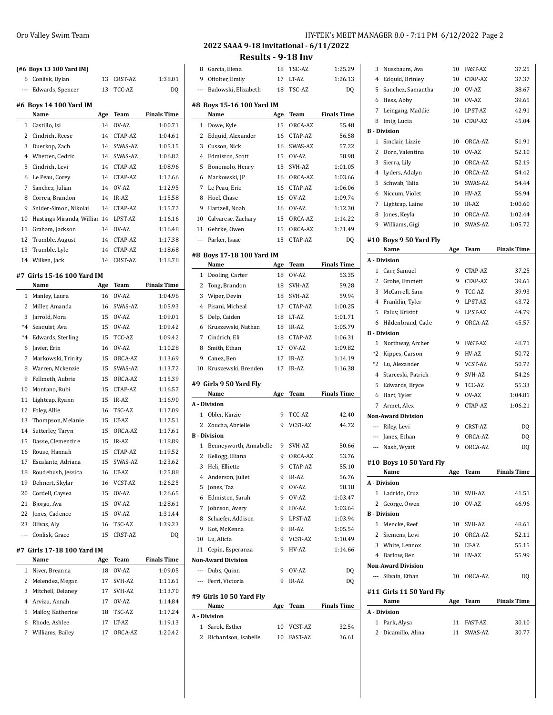|                | (#6 Boys 13 100 Yard IM)       |          |         |                           |
|----------------|--------------------------------|----------|---------|---------------------------|
| 6              | Conlisk, Dylan                 | 13       | CRST-AZ | 1:38.01                   |
| $\overline{a}$ | Edwards, Spencer               | 13       | TCC-AZ  | DQ                        |
|                |                                |          |         |                           |
|                | #6 Boys 14 100 Yard IM<br>Name | Age      | Team    | <b>Finals Time</b>        |
| 1              | Castillo, Isi                  | 14       | OV-AZ   | 1:00.71                   |
| 2              | Cindrich, Reese                | 14       | CTAP-AZ | 1:04.61                   |
| 3              | Duerkop, Zach                  | 14       | SWAS-AZ | 1:05.15                   |
| 4              | Whetten. Cedric                | 14       | SWAS-AZ | 1:06.82                   |
| 5              | Cindrich, Levi                 | 14       | CTAP-AZ | 1:08.96                   |
| 6              | Le Peau, Corey                 | 14       | CTAP-AZ | 1:12.66                   |
| 7              | Sanchez, Julian                | 14       | OV-AZ   | 1:12.95                   |
| 8              | Correa, Brandon                | 14       | IR-AZ   | 1:15.58                   |
| 9              | Snider-Simon, Nikolai          | 14       | CTAP-AZ | 1:15.72                   |
| 10             | Hastings Miranda, Williar      | 14       | LPST-AZ | 1:16.16                   |
| 11             | Graham, Jackson                | 14       | OV-AZ   | 1:16.48                   |
| 12             | Trumble, August                | 14       | CTAP-AZ | 1:17.38                   |
| 13             | Trumble, Lyle                  | 14       | CTAP-AZ | 1:18.68                   |
| 14             | Wilken, Jack                   | 14       | CRST-AZ | 1:18.78                   |
|                |                                |          |         |                           |
|                | #7 Girls 15-16 100 Yard IM     |          |         |                           |
|                | Name                           | Age      | Team    | <b>Finals Time</b>        |
| 1              | Manley, Laura                  | 16       | OV-AZ   | 1:04.96                   |
| 2              | Miller, Amanda                 | 16       | SWAS-AZ | 1:05.93                   |
| 3              | Jarrold, Nora                  | 15       | OV-AZ   | 1:09.01                   |
| $*4$           | Seaquist, Ava                  | 15       | OV-AZ   | 1:09.42                   |
| $*4$           | Edwards, Sterling              | 15       | TCC-AZ  | 1:09.42                   |
| 6              | Javier, Erin                   | 16       | OV-AZ   | 1:10.28                   |
| 7              | Markowski, Trinity             | 15       | ORCA-AZ | 1:13.69                   |
| 8              | Warren, Mckenzie               | 15       | SWAS-AZ | 1:13.72                   |
| 9              | Fellmeth, Aubrie               | 15       | ORCA-AZ | 1:15.39                   |
| 10             | Montano, Rubi                  | 15       | CTAP-AZ | 1:16.57                   |
| 11             | Lightcap, Ryann                | 15       | IR-AZ   | 1:16.90                   |
| 12             | Foley, Allie                   | 16       | TSC-AZ  | 1:17.09                   |
| 13             | Thompson, Melanie              | 15       | LT-AZ   | 1:17.51                   |
| 14             | Sutterley, Taryn               | 15       | ORCA-AZ | 1:17.61                   |
| 15             | Dasse, Clementine              | 15       | IR-AZ   | 1:18.89                   |
| 16             | Rouse, Hannah                  | 15       | CTAP-AZ | 1:19.52                   |
| 17             | Escalante, Adriana             | 15       | SWAS-AZ | 1:23.62                   |
| 18             | Roudebush, Jessica             | 16       | LT-AZ   | 1:25.88                   |
| 19             | Dehnert, Skylar                | 16       | VCST-AZ | 1:26.25                   |
| 20             | Cordell, Caysea                | 15       | OV-AZ   | 1:26.65                   |
| 21             | Bjorgo, Ava                    | 15       | OV-AZ   | 1:28.61                   |
| 22             | Jones, Cadence                 | 15       | OV-AZ   | 1:31.44                   |
| 23<br>---      | Olivas, Aly<br>Conlisk, Grace  | 16<br>15 | TSC-AZ  | 1:39.23<br>D <sub>0</sub> |
|                |                                |          | CRST-AZ |                           |
|                | #7 Girls 17-18 100 Yard IM     |          |         |                           |
|                | Name                           | Age      | Team    | <b>Finals Time</b>        |
| 1              | Niver, Breanna                 | 18       | OV-AZ   | 1:09.05                   |
| 2              | Melendez, Megan                | 17       | SVH-AZ  | 1:11.61                   |
| 3              | Mitchell, Delaney              | 17       | SVH-AZ  | 1:13.70                   |
| $\overline{4}$ | Arvizu, Annah                  | 17       | OV-AZ   | 1:14.84                   |
| 5              | Malloy, Katherine              | 18       | TSC-AZ  | 1:17.24                   |
| 6              | Rhode, Ashlee                  | 17       | LT-AZ   | 1:19.13                   |
| 7              | Williams, Bailey               | 17       | ORCA-AZ | 1:20.42                   |

# **2022 SAAA 9-18 Invitational - 6/11/2022**

**Results - 9-18 Inv**

|                | Results - 9-18 Inv        |     |         |                    |
|----------------|---------------------------|-----|---------|--------------------|
| 8              | Garcia, Elena             | 18  | TSC-AZ  | 1:25.29            |
| 9              | Offolter, Emily           | 17  | LT-AZ   | 1:26.13            |
| ---            | Badowski, Elizabeth       | 18  | TSC-AZ  | DQ                 |
|                | #8 Boys 15-16 100 Yard IM |     |         |                    |
|                | Name                      | Age | Team    | <b>Finals Time</b> |
| $\mathbf{1}$   | Dowe, Kyle                | 15  | ORCA-AZ | 55.48              |
| 2              | Edquid, Alexander         | 16  | CTAP-AZ | 56.58              |
| 3              | Cusson, Nick              | 16  | SWAS-AZ | 57.22              |
| 4              | Edmiston, Scott           | 15  | OV-AZ   | 58.98              |
| 5              | Bonomolo, Henry           | 15  | SVH-AZ  | 1:01.05            |
| 6              | Markowski, JP             | 16  | ORCA-AZ | 1:03.66            |
| 7              | Le Peau, Eric             | 16  | CTAP-AZ | 1:06.06            |
| 8              | Hoel, Chase               | 16  | OV-AZ   | 1:09.74            |
| 9              | Hartzell, Noah            | 16  | OV-AZ   | 1:12.30            |
|                |                           |     |         |                    |
| 10             | Calvarese, Zachary        | 15  | ORCA-AZ | 1:14.22            |
| 11             | Gehrke, Owen              | 15  | ORCA-AZ | 1:21.49            |
| $---$          | Parker, Isaac             | 15  | CTAP-AZ | DQ                 |
|                | #8 Boys 17-18 100 Yard IM |     |         |                    |
|                | Name                      | Age | Team    | <b>Finals Time</b> |
| 1              | Dooling, Carter           | 18  | OV-AZ   | 53.35              |
| 2              | Tong, Brandon             | 18  | SVH-AZ  | 59.28              |
| 3              | Wiper, Devin              | 18  | SVH-AZ  | 59.94              |
| 4              | Pisani, Micheal           | 17  | CTAP-AZ | 1:00.25            |
| 5              | Delp, Caiden              | 18  | LT-AZ   | 1:01.71            |
| 6              | Kruszewski, Nathan        | 18  | IR-AZ   | 1:05.79            |
| 7              | Cindrich, Eli             | 18  | CTAP-AZ | 1:06.31            |
| 8              | Smith, Ethan              | 17  | OV-AZ   | 1:09.82            |
| 9              | Canez, Ben                | 17  | IR-AZ   | 1:14.19            |
| 10             | Kruszewski, Brenden       | 17  | IR-AZ   | 1:16.38            |
|                |                           |     |         |                    |
|                | #9 Girls 9 50 Yard Fly    |     |         |                    |
|                | Name                      | Age | Team    | <b>Finals Time</b> |
|                | A - Division              |     |         |                    |
| 1              | Obler, Kinzie             | 9   | TCC-AZ  | 42.40              |
| 2              | Zoucha, Abrielle          | 9   | VCST-AZ | 44.72              |
|                | <b>B</b> - Division       |     |         |                    |
| 1              | Benneyworth, Annabelle    | 9   | SVH-AZ  | 50.66              |
| 2              | Kellogg, Eliana           | 9   | ORCA-AZ | 53.76              |
| 3              | Heli, Elliette            | 9   | CTAP-AZ | 55.10              |
| $\overline{4}$ | Anderson, Juliet          | 9   | IR-AZ   | 56.76              |
| 5              | Jones, Taz                | 9   | OV-AZ   | 58.18              |
| 6              | Edmiston, Sarah           | 9   | OV-AZ   | 1:03.47            |
| 7              | Johnson, Avery            | 9   | HV-AZ   | 1:03.64            |
| 8              | Schaefer, Addison         | 9   | LPST-AZ | 1:03.94            |
| 9              | Kot, McKenna              | 9   | IR-AZ   | 1:05.54            |
|                | 10 Lu, Alicia             | 9   | VCST-AZ | 1:10.49            |
| 11             | Cepin, Esperanza          | 9   | HV-AZ   | 1:14.66            |
|                | <b>Non-Award Division</b> |     |         |                    |
|                | --- Dubs, Quinn           | 9   | OV-AZ   | DQ                 |
|                | --- Ferri, Victoria       | 9   | IR-AZ   | DQ                 |
|                | #9 Girls 10 50 Yard Fly   |     |         |                    |
|                | Name                      | Age | Team    | <b>Finals Time</b> |
|                | A - Division              |     |         |                    |
| 1              | Sarok, Esther             | 10  | VCST-AZ | 32.54              |
| $\overline{2}$ | Richardson, Isabelle      | 10  | FAST-AZ | 36.61              |

| 3      | Nussbaum, Ava             | 10         | <b>FAST-AZ</b> | 37.25              |
|--------|---------------------------|------------|----------------|--------------------|
| $^{4}$ | Edquid, Brinley           | 10         | CTAP-AZ        | 37.37              |
| 5      | Sanchez, Samantha         | 10         | OV-AZ          | 38.67              |
|        | 6 Hess, Abby              | 10         | OV-AZ          | 39.65              |
| 7      | Leingang, Maddie          | 10         | LPST-AZ        | 42.91              |
| 8      | Imig, Lucia               | 10         | CTAP-AZ        | 45.04              |
|        | <b>B</b> - Division       |            |                |                    |
|        | 1 Sinclair, Lizzie        | 10         | ORCA-AZ        | 51.91              |
|        | 2 Dorn, Valentina         | 10         | OV-AZ          | 52.10              |
|        | 3 Sierra, Lily            | 10         | ORCA-AZ        | 52.19              |
|        | 4 Lyders, Adalyn          | 10         | ORCA-AZ        | 54.42              |
| 5      | Schwab, Talia             | 10         | SWAS-AZ        | 54.44              |
|        | 6 Niccum, Violet          | 10         | HV-AZ          | 56.94              |
| 7      | Lightcap, Laine           | 10         | IR-AZ          | 1:00.60            |
|        | 8 Jones, Keyla            | 10         | ORCA-AZ        | 1:02.44            |
|        | 9 Williams, Gigi          | 10         | SWAS-AZ        | 1:05.72            |
|        | #10 Boys 9 50 Yard Fly    |            |                |                    |
|        | Name                      | Age        | Team           | <b>Finals Time</b> |
|        | A - Division              |            |                |                    |
|        | 1 Carr, Samuel            | 9          | CTAP-AZ        | 37.25              |
|        | 2 Grobe, Emmett           | 9          | CTAP-AZ        | 39.61              |
|        | 3 McCarrell, Sam          | 9          | TCC-AZ         | 39.93              |
|        | 4 Franklin, Tyler         | 9          | LPST-AZ        | 43.72              |
| 5      | Paluv, Kristof            | 9          | LPST-AZ        | 44.79              |
|        | 6 Hildenbrand, Cade       | 9          | ORCA-AZ        | 45.57              |
|        | <b>B</b> - Division       |            |                |                    |
| 1      | Northway, Archer          | 9          | <b>FAST-AZ</b> | 48.71              |
| $*2$   | Kippes, Carson            | 9          | HV-AZ          | 50.72              |
|        | *2 Lu, Alexander          | 9          | VCST-AZ        | 50.72              |
|        | 4 Starceski, Patrick      | 9          | SVH-AZ         | 54.26              |
| 5      | Edwards, Bryce            | 9          | TCC-AZ         | 55.33              |
| 6      | Hart, Tyler               | 9          | OV-AZ          | 1:04.81            |
| 7      | Armet, Alex               | 9          | CTAP-AZ        | 1:06.21            |
|        | <b>Non-Award Division</b> |            |                |                    |
|        | --- Riley, Levi           | 9          | CRST-AZ        | DQ                 |
|        | --- Janes, Ethan          | 9          | ORCA-AZ        | D <sub>0</sub>     |
|        | --- Nash, Wyatt           | 9          | ORCA-AZ        | DQ                 |
|        |                           |            |                |                    |
|        | #10 Boys 10 50 Yard Fly   |            | <b>Team</b>    | <b>Finals Time</b> |
|        | Name<br>A - Division      | <u>Age</u> |                |                    |
|        | 1 Ladrido, Cruz           |            | 10 SVH-AZ      | 41.51              |
|        | 2 George, Owen            |            | 10 OV-AZ       | 46.96              |
|        | <b>B</b> - Division       |            |                |                    |
|        | 1 Mencke, Reef            |            | 10 SVH-AZ      | 48.61              |
|        | 2 Siemens, Levi           |            | 10 ORCA-AZ     | 52.11              |
|        | 3 White, Lennox           |            | 10 LT-AZ       | 55.15              |
|        | 4 Barlow, Ben             |            | 10 HV-AZ       | 55.99              |
|        | <b>Non-Award Division</b> |            |                |                    |
|        | --- Silvain, Ethan        | 10         | ORCA-AZ        | D <sub>0</sub>     |
|        |                           |            |                |                    |
|        | #11 Girls 11 50 Yard Fly  |            |                |                    |
|        | Name                      | Age        | Team           | <b>Finals Time</b> |
|        |                           |            |                |                    |
|        | A - Division              |            |                |                    |
|        | 1 Park, Alysa             |            | 11 FAST-AZ     | 30.10              |
|        | 2 Dicamillo, Alina        |            | 11 SWAS-AZ     | 30.77              |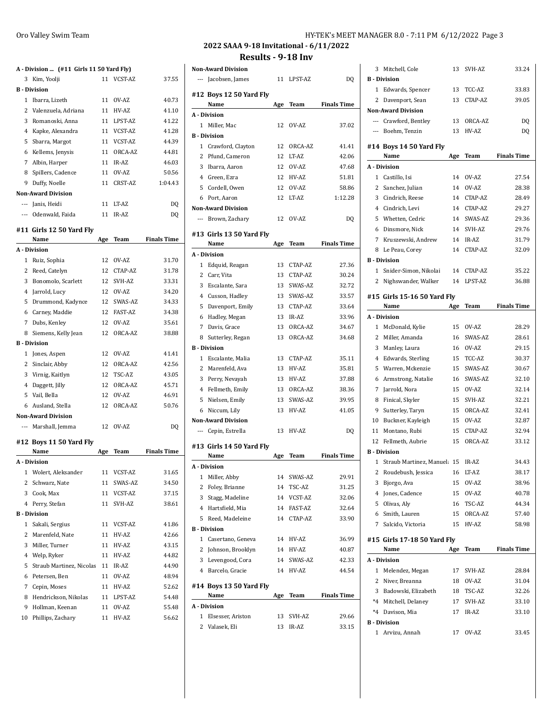## **A - Division ... (#11 Girls 11 50 Yard Fly)** Kim, Yoolji 11 VCST-AZ 37.55 **B - Division** Ibarra, Lizeth 11 OV-AZ 40.73 2 Valenzuela, Adriana 11 HV-AZ 41.10 Romanoski, Anna 11 LPST-AZ 41.22 Kapke, Alexandra 11 VCST-AZ 41.28 5 Sbarra, Margot 11 VCST-AZ 44.39 Kellems, Jenysis 11 ORCA-AZ 44.81 7 Albin, Harper 11 IR-AZ 46.03 8 Spillers, Cadence 11 OV-AZ 50.56 Duffy, Noelle 11 CRST-AZ 1:04.43 **Non-Award Division** --- Janis, Heidi 11 LT-AZ DQ --- Odenwald, Faida 11 IR-AZ DQ

#### **#11 Girls 12 50 Yard Fly**

|              | Name                      | Age | Team           | <b>Finals Time</b> |
|--------------|---------------------------|-----|----------------|--------------------|
|              | A - Division              |     |                |                    |
| 1            | Ruiz, Sophia              | 12  | OV-AZ          | 31.70              |
|              | 2 Reed, Catelyn           | 12  | CTAP-AZ        | 31.78              |
|              | 3 Bonomolo, Scarlett      |     | 12 SVH-AZ      | 33.31              |
|              | 4 Jarrold, Lucy           |     | 12 OV-AZ       | 34.20              |
|              | 5 Drummond, Kadynce       | 12  | SWAS-AZ        | 34.33              |
|              | 6 Carney, Maddie          | 12  | <b>FAST-AZ</b> | 34.38              |
|              | 7 Dubs, Kenley            | 12  | OV-AZ          | 35.61              |
|              | 8 Siemens, Kelly Jean     | 12  | ORCA-AZ        | 38.88              |
|              | <b>B</b> - Division       |     |                |                    |
| $\mathbf{1}$ | Jones, Aspen              | 12  | OV-AZ          | 41.41              |
|              | 2 Sinclair, Abby          | 12  | ORCA-AZ        | 42.56              |
|              | 3 Virnig, Kaitlyn         | 12  | TSC-AZ         | 43.05              |
|              | 4 Daggett, Jilly          | 12  | ORCA-AZ        | 45.71              |
|              | 5 Vail, Bella             | 12  | OV-AZ          | 46.91              |
|              | 6 Ausland, Stella         | 12  | ORCA-AZ        | 50.76              |
|              | <b>Non-Award Division</b> |     |                |                    |
|              | --- Marshall, Jemma       | 12  | OV-AZ          | DQ                 |
|              | #12 Boys 11 50 Yard Fly   |     |                |                    |
|              | Name                      | Age | Team           | <b>Finals Time</b> |
|              | A - Division              |     |                |                    |
|              | 1 Wolert, Aleksander      | 11  | VCST-AZ        | 31.65              |
|              | 2 Schwarz, Nate           | 11  | SWAS-AZ        | 34.50              |
|              | 3 Cook, Max               | 11  | VCST-AZ        | 37.15              |
|              | 4 Perry, Stefan           | 11  | SVH-AZ         | 38.61              |
|              | <b>B</b> Division         |     |                |                    |

1 Sakali, Sergius 11 VCST-AZ 41.86 2 Marenfeld, Nate 11 HV-AZ 42.66 Miller, Turner 11 HV-AZ 43.15 Welp, Ryker 11 HV-AZ 44.82 5 Straub Martinez, Nicolas 11 IR-AZ 44.90 Petersen, Ben 11 OV-AZ 48.94 Cepin, Moses 11 HV-AZ 52.62 Hendrickson, Nikolas 11 LPST-AZ 54.48 Hollman, Keenan 11 OV-AZ 55.48 Phillips, Zachary 11 HV-AZ 56.62

## Oro Valley Swim Team **HY-TEK's MEET MANAGER 8.0 - 7:11 PM 6/12/2022** Page 3

**2022 SAAA 9-18 Invitational - 6/11/2022**

**Results - 9-18 Inv**

|                | <b>Non-Award Division</b>       |     |            |                    |
|----------------|---------------------------------|-----|------------|--------------------|
|                | --- Jacobsen, James             |     | 11 LPST-AZ | DQ                 |
|                | #12 Boys 12 50 Yard Fly<br>Name | Age | Team       | <b>Finals Time</b> |
|                | A - Division                    |     |            |                    |
|                | 1 Miller, Mac                   | 12  | OV-AZ      | 37.02              |
|                | <b>B</b> - Division             |     |            |                    |
| $\mathbf{1}$   | Crawford, Clayton               | 12  | ORCA-AZ    | 41.41              |
| 2              | Pfund, Cameron                  | 12  | LT-AZ      | 42.06              |
| 3              | Ibarra, Aaron                   | 12  | OV-AZ      | 47.68              |
|                | 4 Green, Ezra                   | 12  | HV-AZ      | 51.81              |
| 5              | Cordell, Owen                   | 12  | OV-AZ      | 58.86              |
|                | 6 Port, Aaron                   | 12  | LT-AZ      | 1:12.28            |
|                | <b>Non-Award Division</b>       |     |            |                    |
|                | --- Brown, Zachary              | 12  | OV-AZ      | DQ                 |
|                | #13  Girls 13 50 Yard Fly       |     |            |                    |
|                | Name                            | Age | Team       | <b>Finals Time</b> |
|                | A - Division                    |     |            |                    |
| 1              | Edquid, Reagan                  | 13  | CTAP-AZ    | 27.36              |
|                | 2 Carr, Vita                    | 13  | CTAP-AZ    | 30.24              |
| 3              | Escalante, Sara                 | 13  | SWAS-AZ    | 32.72              |
| 4              | Cusson, Hadley                  | 13  | SWAS-AZ    | 33.57              |
| 5              | Davenport, Emily                | 13  | CTAP-AZ    | 33.64              |
| 6              | Hadley, Megan                   | 13  | IR-AZ      | 33.96              |
|                | 7 Davis, Grace                  | 13  | ORCA-AZ    | 34.67              |
| 8              | Sutterley, Regan                | 13  | ORCA-AZ    | 34.68              |
|                | <b>B</b> - Division             |     |            |                    |
| 1              | Escalante, Malia                | 13  | CTAP-AZ    | 35.11              |
|                | 2 Marenfeld, Ava                | 13  | HV-AZ      | 35.81              |
|                | 3 Perry, Nevayah                | 13  | HV-AZ      | 37.88              |
|                | 4 Fellmeth, Emily               | 13  | ORCA-AZ    | 38.36              |
| 5              | Nielsen, Emily                  | 13  | SWAS-AZ    | 39.95              |
| 6              | Niccum, Lily                    | 13  | HV-AZ      | 41.05              |
|                | <b>Non-Award Division</b>       |     |            |                    |
|                | --- Cepin, Estrella             | 13  | HV-AZ      | DQ                 |
|                | #13 Girls 14 50 Yard Fly        |     |            |                    |
|                | Name                            | Age | Team       | <b>Finals Time</b> |
|                | A - Division                    |     |            |                    |
| 1              | Miller, Abby                    | 14  | SWAS-AZ    | 29.91              |
| 2              | Foley, Brianne                  | 14  | TSC-AZ     | 31.25              |
| 3              | Stagg, Madeline                 | 14  | VCST-AZ    | 32.06              |
|                | 4 Hartsfield, Mia               | 14  | FAST-AZ    | 32.64              |
| 5              | Reed, Madeleine                 | 14  | CTAP-AZ    | 33.90              |
|                | <b>B</b> - Division             |     |            |                    |
|                | 1 Casertano, Geneva             | 14  | HV-AZ      | 36.99              |
|                | 2 Johnson, Brooklyn             | 14  | HV-AZ      | 40.87              |
|                | 3 Levengood, Cora               | 14  | SWAS-AZ    | 42.33              |
|                | 4 Barcelo, Gracie               | 14  | HV-AZ      | 44.54              |
|                | #14 Boys 13 50 Yard Fly<br>Name |     |            | <b>Finals Time</b> |
|                | A - Division                    | Age | Team       |                    |
|                | 1 Elsesser, Ariston             | 13  | SVH-AZ     | 29.66              |
|                |                                 |     |            |                    |
| $\overline{2}$ | Valasek, Eli                    | 13  | IR-AZ      | 33.15              |

| 3              | Mitchell, Cole                        | 13       | SVH-AZ     | 33.24              |
|----------------|---------------------------------------|----------|------------|--------------------|
|                | <b>B</b> - Division                   |          |            |                    |
| 1              | Edwards, Spencer                      |          | 13 TCC-AZ  | 33.83              |
| 2              | Davenport, Sean                       | 13       | CTAP-AZ    | 39.05              |
|                | <b>Non-Award Division</b>             |          |            |                    |
|                | --- Crawford, Bentley                 |          | 13 ORCA-AZ | DQ                 |
|                | --- Boehm, Tenzin                     | 13       | HV-AZ      | DQ                 |
|                |                                       |          |            |                    |
|                | #14 Boys 14 50 Yard Fly<br>Name       |          |            |                    |
|                | A Division                            | Age      | Team       | <b>Finals Time</b> |
|                | 1 Castillo, Isi                       | 14       | OV-AZ      | 27.54              |
| 2              | Sanchez, Julian                       | 14       | OV-AZ      | 28.38              |
| 3              |                                       | 14       | CTAP-AZ    | 28.49              |
|                | Cindrich, Reese<br>4 Cindrich, Levi   | 14       |            | 29.27              |
|                |                                       |          | CTAP-AZ    | 29.36              |
| 5              | Whetten, Cedric                       | 14       | SWAS-AZ    |                    |
| 6              | Dinsmore, Nick                        |          | 14 SVH-AZ  | 29.76              |
| $7^{\circ}$    | Kruszewski, Andrew                    |          | 14 IR-AZ   | 31.79              |
| 8              | Le Peau, Corey<br><b>B</b> - Division | 14       | CTAP-AZ    | 32.09              |
|                |                                       |          |            |                    |
| 1              | Snider-Simon, Nikolai                 | 14       | CTAP-AZ    | 35.22              |
| $\mathbf{2}$   | Nighswander, Walker                   | 14       | LPST-AZ    | 36.88              |
|                | #15  Girls 15-16 50 Yard Fly          |          |            |                    |
|                | Name                                  | Age      | Team       | <b>Finals Time</b> |
|                | A - Division                          |          |            |                    |
|                | 1 McDonald, Kylie                     |          | 15 OV-AZ   | 28.29              |
|                | 2 Miller, Amanda                      | 16       | SWAS-AZ    | 28.61              |
| 3              | Manley, Laura                         |          | 16 OV-AZ   | 29.15              |
| 4              | Edwards, Sterling                     | 15       | TCC-AZ     | 30.37              |
| 5              | Warren, Mckenzie                      | 15       | SWAS-AZ    | 30.67              |
| 6              | Armstrong, Natalie                    | 16       | SWAS-AZ    | 32.10              |
| 7              | Jarrold, Nora                         | 15       | OV-AZ      | 32.14              |
| 8              | Finical, Skyler                       | 15       | SVH-AZ     | 32.21              |
| 9              | Sutterley, Taryn                      | 15       | ORCA-AZ    | 32.41              |
| 10             | Buckner, Kayleigh                     |          | 15 OV-AZ   | 32.87              |
| 11             | Montano, Rubi                         | 15       | CTAP-AZ    | 32.94              |
| 12             | Fellmeth, Aubrie                      | 15       | ORCA-AZ    | 33.12              |
|                | <b>B</b> Division                     |          |            |                    |
| 1              | Straub Martinez, Manuel: 15           |          | IR-AZ      | 34.43              |
| 2              | Roudebush, Jessica                    | 16       | LT-AZ      | 38.17              |
| 3              | Bjorgo, Ava                           | 15       | OV-AZ      | 38.96              |
| $\overline{4}$ | Jones, Cadence                        | 15       | OV-AZ      | 40.78              |
|                | 5 Olivas, Alv                         | 16       | TSC-AZ     | 44.34              |
|                | 6 Smith, Lauren                       | 15       | ORCA-AZ    | 57.40              |
| 7              | Salcido, Victoria                     | 15       | HV-AZ      | 58.98              |
|                |                                       |          |            |                    |
|                | #15 Girls 17-18 50 Yard Fly<br>Name   | Age      | Team       | <b>Finals Time</b> |
|                | A - Division                          |          |            |                    |
|                | 1 Melendez, Megan                     | 17       | SVH-AZ     | 28.84              |
| 2              | Niver, Breanna                        | 18       | OV-AZ      | 31.04              |
| 3              | Badowski, Elizabeth                   |          | TSC-AZ     | 32.26              |
|                | *4 Mitchell, Delaney                  | 18<br>17 | SVH-AZ     | 33.10              |
|                | *4 Davison, Mia                       | 17       | IR-AZ      | 33.10              |
|                | <b>B</b> - Division                   |          |            |                    |
| 1              | Arvizu, Annah                         | 17       | OV-AZ      | 33.45              |
|                |                                       |          |            |                    |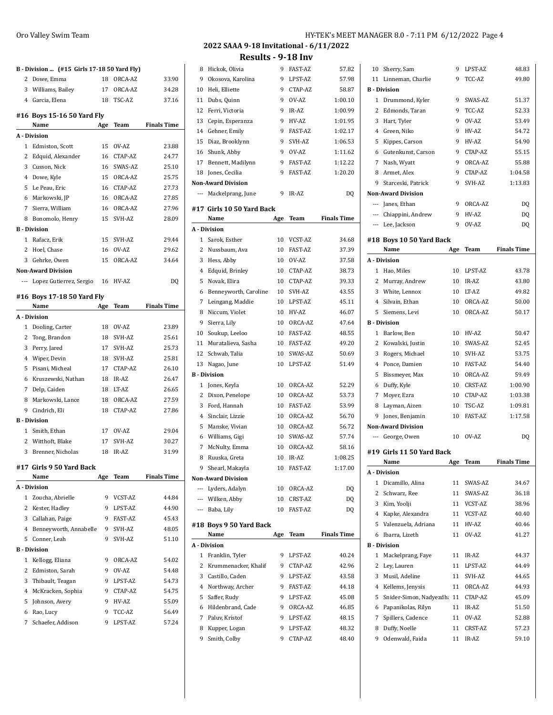## **B - Division ... (#15 Girls 17-18 50 Yard Fly)** Dowe, Emma 18 ORCA-AZ 33.90 Williams, Bailey 17 ORCA-AZ 34.28 Garcia, Elena 18 TSC-AZ 37.16 **#16 Boys 15-16 50 Yard Fly Name Age Team Finals Time A - Division** Edmiston, Scott 15 OV-AZ 23.88 2 Edquid, Alexander 16 CTAP-AZ 24.77 Cusson, Nick 16 SWAS-AZ 25.10 Dowe, Kyle 15 ORCA-AZ 25.75 Le Peau, Eric 16 CTAP-AZ 27.73 Markowski, JP 16 ORCA-AZ 27.85 Sierra, William 16 ORCA-AZ 27.96 Bonomolo, Henry 15 SVH-AZ 28.09 **B - Division** Rafacz, Erik 15 SVH-AZ 29.44 Hoel, Chase 16 OV-AZ 29.62 Gehrke, Owen 15 ORCA-AZ 34.64 **Non-Award Division** --- Lopez Gutierrez, Sergio 16 HV-AZ DQ **#16 Boys 17-18 50 Yard Fly Name Age Team Finals Time A - Division** 1 Dooling, Carter 18 OV-AZ 23.89 Tong, Brandon 18 SVH-AZ 25.61 Perry, Jared 17 SVH-AZ 25.73 Wiper, Devin 18 SVH-AZ 25.81 Pisani, Micheal 17 CTAP-AZ 26.10 Kruszewski, Nathan 18 IR-AZ 26.47 Delp, Caiden 18 LT-AZ 26.65 Markowski, Lance 18 ORCA-AZ 27.59 Cindrich, Eli 18 CTAP-AZ 27.86 **B - Division** Smith, Ethan 17 OV-AZ 29.04 2 Witthoft, Blake 17 SVH-AZ 30.27 Brenner, Nicholas 18 IR-AZ 31.99 **#17 Girls 9 50 Yard Back Name Age Team Finals Time A - Division** Zoucha, Abrielle 9 VCST-AZ 44.84 2 Kester, Hadley 9 LPST-AZ 44.90 3 Callahan, Paige 9 FAST-AZ 45.43 Benneyworth, Annabelle 9 SVH-AZ 48.05 Conner, Leah 9 SVH-AZ 51.10 **B - Division** Kellogg, Eliana 9 ORCA-AZ 54.02 Edmiston, Sarah 9 OV-AZ 54.48 3 Thibault, Teagan 9 LPST-AZ 54.73 McKracken, Sophia 9 CTAP-AZ 54.75

 Johnson, Avery 9 HV-AZ 55.09 Rao, Lucy 9 TCC-AZ 56.49 Schaefer, Addison 9 LPST-AZ 57.24

## 8 Hickok, Olivia 9 FAST-AZ 57.82 Okosova, Karolina 9 LPST-AZ 57.98 Heli, Elliette 9 CTAP-AZ 58.87 Dubs, Quinn 9 OV-AZ 1:00.10 Ferri, Victoria 9 IR-AZ 1:00.99 Cepin, Esperanza 9 HV-AZ 1:01.95 Gehner, Emily 9 FAST-AZ 1:02.17 Diaz, Brooklynn 9 SVH-AZ 1:06.53 Shunk, Abby 9 OV-AZ 1:11.62 Bennett, Madilynn 9 FAST-AZ 1:12.22 18 Jones, Cecilia 9 FAST-AZ 1:20.20 **Non-Award Division** --- Mackelprang, June 9 IR-AZ DQ **#17 Girls 10 50 Yard Back Name Age Team Finals Time A - Division** Sarok, Esther 10 VCST-AZ 34.68 Nussbaum, Ava 10 FAST-AZ 37.39 Hess, Abby 10 OV-AZ 37.58 Edquid, Brinley 10 CTAP-AZ 38.73 Novak, Elira 10 CTAP-AZ 39.33 Benneyworth, Caroline 10 SVH-AZ 43.55 Leingang, Maddie 10 LPST-AZ 45.11 Niccum, Violet 10 HV-AZ 46.07 Sierra, Lily 10 ORCA-AZ 47.64 Soukup, Leeloo 10 FAST-AZ 48.55 Muratalieva, Sasha 10 FAST-AZ 49.20 Schwab, Talia 10 SWAS-AZ 50.69 Nagao, June 10 LPST-AZ 51.49 **B - Division** Jones, Keyla 10 ORCA-AZ 52.29 Dixon, Penelope 10 ORCA-AZ 53.73 Ford, Hannah 10 FAST-AZ 53.99 Sinclair, Lizzie 10 ORCA-AZ 56.70 Manske, Vivian 10 ORCA-AZ 56.72 Williams, Gigi 10 SWAS-AZ 57.74 McNulty, Emma 10 ORCA-AZ 58.16 Ruuska, Greta 10 IR-AZ 1:08.25 Shearl, Makayla 10 FAST-AZ 1:17.00 **Non-Award Division** --- Lyders, Adalyn 10 ORCA-AZ DQ --- Wilken, Abby 10 CRST-AZ DQ --- Baba, Lily 10 FAST-AZ DQ **#18 Boys 9 50 Yard Back Name Age Team Finals Time A - Division** 1 Franklin, Tyler 9 LPST-AZ 40.24 2 Krummenacker, Khalif 9 CTAP-AZ 42.96 3 Castillo, Caden 9 LPST-AZ 43.58 Northway, Archer 9 FAST-AZ 44.18 Saffer, Rudy 9 LPST-AZ 45.08 Hildenbrand, Cade 9 ORCA-AZ 46.85 Paluv, Kristof 9 LPST-AZ 48.15 8 Kupper, Logan 9 LPST-AZ 48.32 Smith, Colby 9 CTAP-AZ 48.40

| 10           | Sherry, Sam                | 9               | LPST-AZ | 48.83              |
|--------------|----------------------------|-----------------|---------|--------------------|
|              | 11 Linneman, Charlie       | 9               | TCC-AZ  | 49.80              |
|              | <b>B</b> - Division        |                 |         |                    |
| $\mathbf{1}$ | Drummond, Kyler            | 9               | SWAS-AZ | 51.37              |
| 2            | Edmonds, Taran             | 9               | TCC-AZ  | 52.33              |
|              | 3 Hart, Tyler              | 9               | OV-AZ   | 53.49              |
|              | 4 Green, Niko              | 9               | HV-AZ   | 54.72              |
| 5            | Kippes, Carson             | 9               | HV-AZ   | 54.90              |
| 6            | Gutenkunst, Carson         | 9               | CTAP-AZ | 55.15              |
|              | 7 Nash, Wyatt              | 9               | ORCA-AZ | 55.88              |
|              | 8 Armet, Alex              | 9               | CTAP-AZ | 1:04.58            |
|              | 9 Starceski, Patrick       | 9               | SVH-AZ  | 1:13.83            |
|              | <b>Non-Award Division</b>  |                 |         |                    |
|              | --- Janes, Ethan           | 9               | ORCA-AZ | DQ                 |
|              | --- Chiappini, Andrew      | 9               | HV-AZ   | DQ                 |
|              | --- Lee, Jackson           | 9               | OV-AZ   | DQ                 |
|              | #18 Boys 10 50 Yard Back   |                 |         |                    |
|              | Name                       | Age             | Team    | <b>Finals Time</b> |
|              | A - Division               |                 |         |                    |
|              | 1 Hao, Miles               | 10              | LPST-AZ | 43.78              |
|              | 2 Murray, Andrew           | 10              | IR-AZ   | 43.80              |
|              | 3 White, Lennox            | 10              | LT-AZ   | 49.82              |
|              | 4 Silvain, Ethan           | 10 <sup>1</sup> | ORCA-AZ | 50.00              |
| 5            | Siemens, Levi              | 10              | ORCA-AZ | 50.17              |
|              | <b>B</b> - Division        |                 |         |                    |
|              | 1 Barlow, Ben              | 10              | HV-AZ   | 50.47              |
|              | 2 Kowalski, Justin         | 10              | SWAS-AZ | 52.45              |
| 3            | Rogers, Michael            | 10              | SVH-AZ  | 53.75              |
|              | 4 Ponce, Damien            | 10              | FAST-AZ | 54.40              |
| 5            | Bissmeyer, Max             | 10              | ORCA-AZ | 59.49              |
| 6            | Duffy, Kyle                | 10              | CRST-AZ | 1:00.90            |
|              | 7 Moyer, Ezra              | 10              | CTAP-AZ | 1:03.38            |
| 8            | Layman, Aizen              | 10              | TSC-AZ  | 1:09.81            |
| 9            | Jones, Benjamin            | 10              | FAST-AZ | 1:17.58            |
|              | <b>Non-Award Division</b>  |                 |         |                    |
|              | --- George, Owen           | 10              | OV-AZ   | DQ                 |
|              | #19 Girls 11 50 Yard Back  |                 |         |                    |
|              | Name                       | Age             | Team    | <b>Finals Time</b> |
|              | A - Division               |                 |         |                    |
| $\mathbf{1}$ | Dicamillo, Alina           | 11              | SWAS-AZ | 34.67              |
| 2            | Schwarz, Ree               | 11              | SWAS-AZ | 36.18              |
|              | 3 Kim, Yoolji              | 11              | VCST-AZ | 38.96              |
|              | 4 Kapke, Alexandra         | 11              | VCST-AZ | 40.40              |
|              | 5 Valenzuela, Adriana      | 11              | HV-AZ   | 40.46              |
| 6            | Ibarra, Lizeth             | 11              | OV-AZ   | 41.27              |
|              | <b>B</b> - Division        |                 |         |                    |
| 1            | Mackelprang, Faye          | 11              | IR-AZ   | 44.37              |
|              | 2 Ley, Lauren              | 11              | LPST-AZ | 44.49              |
| 3            | Musil, Adeline             | 11              | SVH-AZ  | 44.65              |
|              | 4 Kellems, Jenysis         | 11              | ORCA-AZ | 44.93              |
| 5            | Snider-Simon, Nadyezdh: 11 |                 | CTAP-AZ | 45.09              |
|              | 6 Papanikolas, Rilyn       | 11              | IR-AZ   | 51.50              |
| 7            | Spillers, Cadence          | 11              | OV-AZ   | 52.88              |
|              | 8 Duffy, Noelle            | 11              | CRST-AZ | 57.23              |
| 9            | Odenwald, Faida            | 11              | IR-AZ   | 59.10              |
|              |                            |                 |         |                    |
|              |                            |                 |         |                    |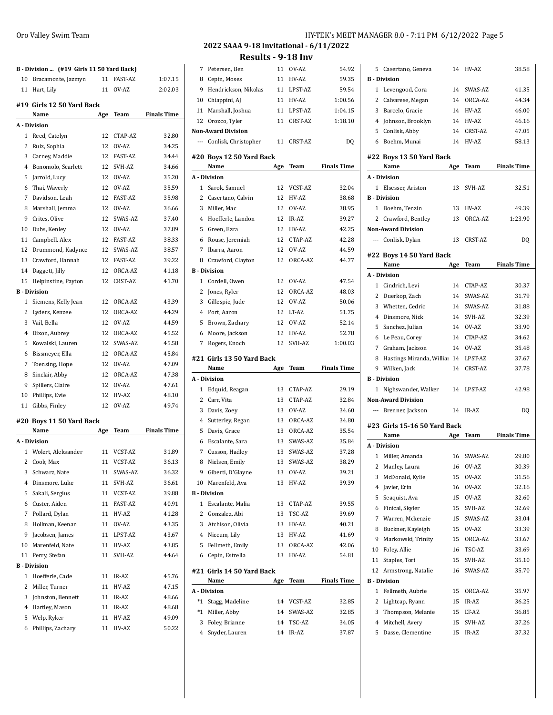|              | B - Division  (#19 Girls 11 50 Yard Back) |     |                |                    |
|--------------|-------------------------------------------|-----|----------------|--------------------|
| 10           | Bracamonte, Jazmyn                        | 11  | FAST-AZ        | 1:07.15            |
|              | 11 Hart, Lily                             | 11  | OV-AZ          | 2:02.03            |
|              | #19 Girls 12 50 Yard Back                 |     |                |                    |
|              | Name                                      | Age | Team           | <b>Finals Time</b> |
|              | A - Division                              |     |                |                    |
| 1            | Reed, Catelyn                             | 12  | CTAP-AZ        | 32.80              |
| 2            | Ruiz, Sophia                              | 12  | OV-AZ          | 34.25              |
| 3            | Carney, Maddie                            | 12  | <b>FAST-AZ</b> | 34.44              |
| 4            | Bonomolo, Scarlett                        | 12  | SVH-AZ         | 34.66              |
| 5            | Jarrold, Lucy                             | 12  | OV-AZ          | 35.20              |
| 6            | Thai, Waverly                             | 12  | OV-AZ          | 35.59              |
| 7            | Davidson, Leah                            | 12  | <b>FAST-AZ</b> | 35.98              |
| 8            | Marshall, Jemma                           | 12  | OV-AZ          | 36.66              |
| 9            | Crites, Olive                             | 12  | SWAS-AZ        | 37.40              |
| 10           | Dubs, Kenley                              | 12  | OV-AZ          | 37.89              |
| 11           | Campbell, Alex                            | 12  | FAST-AZ        | 38.33              |
| 12           | Drummond, Kadynce                         | 12  | SWAS-AZ        | 38.57              |
| 13           | Crawford, Hannah                          | 12  | <b>FAST-AZ</b> | 39.22              |
| 14           | Daggett, Jilly                            | 12  | ORCA-AZ        | 41.18              |
| 15           | Helpinstine, Payton                       | 12  | <b>CRST-AZ</b> | 41.70              |
|              | <b>B</b> - Division                       |     |                |                    |
| 1            | Siemens, Kelly Jean                       | 12  | ORCA-AZ        | 43.39              |
| 2            | Lyders, Kenzee                            | 12  | ORCA-AZ        | 44.29              |
| 3            | Vail, Bella                               | 12  | OV-AZ          | 44.59              |
| 4            | Dixon, Aubrey                             | 12  | ORCA-AZ        | 45.52              |
| 5            | Kowalski, Lauren                          | 12  | SWAS-AZ        | 45.58              |
| 6            | Bissmeyer, Ella                           | 12  | ORCA-AZ        | 45.84              |
| 7            | Toensing, Hope                            | 12  | OV-AZ          | 47.09              |
| 8            | Sinclair, Abby                            | 12  | ORCA-AZ        | 47.38              |
| 9            | Spillers, Claire                          | 12  | OV-AZ          | 47.61              |
| 10           | Phillips, Evie                            | 12  | HV-AZ          | 48.10              |
| 11           | Gibbs, Finley                             | 12  | OV-AZ          | 49.74              |
|              |                                           |     |                |                    |
|              | #20 Boys 11 50 Yard Back<br>Name          |     | Team           | <b>Finals Time</b> |
|              | A - Division                              | Age |                |                    |
| $\mathbf{1}$ | Wolert, Aleksander                        | 11  | VCST-AZ        | 31.89              |
| 2            | Cook, Max                                 | 11  | VCST-AZ        | 36.13              |
| 3            | Schwarz, Nate                             | 11  | SWAS-AZ        | 36.32              |
| 4            | Dinsmore, Luke                            | 11  | SVH-AZ         | 36.61              |
| 5            | Sakali, Sergius                           | 11  | VCST-AZ        | 39.88              |
| 6            | Custer, Aiden                             | 11  | <b>FAST-AZ</b> | 40.91              |
| 7            | Pollard, Dylan                            | 11  | HV-AZ          | 41.28              |
| 8            | Hollman, Keenan                           | 11  | OV-AZ          | 43.35              |
| 9            | Jacobsen, James                           | 11  | LPST-AZ        | 43.67              |
| 10           | Marenfeld, Nate                           | 11  | HV-AZ          | 43.85              |
| 11           | Perry, Stefan                             | 11  | SVH-AZ         | 44.64              |
|              | <b>B</b> - Division                       |     |                |                    |
| 1            | Hoefferle, Cade                           | 11  | IR-AZ          | 45.76              |
|              | 2 Miller, Turner                          | 11  | HV-AZ          | 47.15              |
| 3            | Johnston, Bennett                         | 11  | IR-AZ          | 48.66              |
|              | 4 Hartley, Mason                          | 11  | IR-AZ          | 48.68              |
| 5            | Welp, Ryker                               | 11  | HV-AZ          | 49.09              |
|              | 6 Phillips, Zachary                       | 11  | HV-AZ          | 50.22              |

| 7              | Petersen, Ben                     | 11  | OV-AZ      | 54.92              |
|----------------|-----------------------------------|-----|------------|--------------------|
| 8              | Cepin, Moses                      | 11  | HV-AZ      | 59.35              |
| 9              | Hendrickson, Nikolas              | 11  | LPST-AZ    | 59.54              |
| 10             | Chiappini, AJ                     | 11  | HV-AZ      | 1:00.56            |
|                | 11 Marshall, Joshua               | 11  | LPST-AZ    | 1:04.15            |
| 12             | Orozco, Tyler                     | 11  | CRST-AZ    | 1:18.10            |
|                | <b>Non-Award Division</b>         |     |            |                    |
|                | --- Conlisk, Christopher          | 11  | CRST-AZ    | DQ                 |
|                | #20 Boys 12 50 Yard Back          |     |            |                    |
|                | Name                              | Age | Team       | <b>Finals Time</b> |
|                | A - Division                      |     |            |                    |
|                | 1 Sarok, Samuel                   | 12  | VCST-AZ    | 32.04              |
| 2              | Casertano, Calvin                 | 12  | HV-AZ      | 38.68              |
| 3              | Miller, Mac                       | 12  | OV-AZ      | 38.95              |
| 4              | Hoefferle, Landon                 | 12  | IR-AZ      | 39.27              |
| 5              | Green, Ezra                       | 12  | HV-AZ      | 42.25              |
| 6              | Rouse, Jeremiah                   |     | 12 CTAP-AZ | 42.28              |
|                | 7 Ibarra, Aaron                   | 12  | OV-AZ      | 44.59              |
| 8              | Crawford, Clayton                 | 12  | ORCA-AZ    | 44.77              |
|                | <b>B</b> - Division               |     |            |                    |
|                | 1 Cordell, Owen                   | 12  | OV-AZ      | 47.54              |
|                | 2 Jones, Ryler                    | 12  | ORCA-AZ    | 48.03              |
| 3              | Gillespie, Jude                   | 12  | OV-AZ      | 50.06              |
| 4              | Port, Aaron                       | 12  | I.T-AZ     | 51.75              |
| 5              | Brown, Zachary                    | 12  | OV-AZ      | 52.14              |
| 6              | Moore, Jackson                    | 12  | HV-AZ      | 52.78              |
| 7              | Rogers, Enoch                     | 12  | SVH-AZ     | 1:00.03            |
|                |                                   |     |            |                    |
|                |                                   |     |            |                    |
|                | #21 Girls 13 50 Yard Back<br>Name | Age | Team       | <b>Finals Time</b> |
|                | A - Division                      |     |            |                    |
| 1              | Edquid, Reagan                    | 13  | CTAP-AZ    | 29.19              |
|                | 2 Carr, Vita                      | 13  | CTAP-AZ    | 32.84              |
|                | 3 Davis, Zoey                     | 13  | OV-AZ      | 34.60              |
| 4              | Sutterley, Regan                  | 13  | ORCA-AZ    | 34.80              |
| 5              | Davis, Grace                      | 13  | ORCA-AZ    | 35.54              |
| 6              | Escalante, Sara                   | 13  | SWAS-AZ    | 35.84              |
| $\overline{7}$ | Cusson, Hadley                    | 13  | SWAS-AZ    | 37.28              |
| 8              | Nielsen, Emily                    | 13  | SWAS-AZ    | 38.29              |
| 9              | Giberti, D'Glayne                 | 13  | OV-AZ      | 39.21              |
| 10             | Marenfeld, Ava                    | 13  | HV-AZ      | 39.39              |
|                | <b>B</b> - Division               |     |            |                    |
| $\mathbf{1}$   | Escalante, Malia                  | 13  | CTAP-AZ    | 39.55              |
|                | 2 Gonzalez, Abi                   | 13  | TSC-AZ     | 39.69              |
|                | 3 Atchison, Olivia                | 13  | HV-AZ      | 40.21              |
|                | 4 Niccum, Lily                    | 13  | HV-AZ      | 41.69              |
| 5              | Fellmeth, Emily                   | 13  | ORCA-AZ    | 42.06              |
| 6              | Cepin, Estrella                   | 13  | HV-AZ      | 54.81              |
|                | #21 Girls 14 50 Yard Back         |     |            |                    |
|                | Name                              | Age | Team       | <b>Finals Time</b> |
|                | A - Division                      |     |            |                    |
| $^*1$          | Stagg, Madeline                   | 14  | VCST-AZ    | 32.85              |
|                | *1 Miller, Abby                   | 14  | SWAS-AZ    | 32.85              |
|                | 3 Foley, Brianne                  | 14  | TSC-AZ     | 34.05              |
| 4              | Snyder, Lauren                    | 14  | IR-AZ      | 37.87              |

| 54.92          | 5            | Casertano, Geneva                   | 14  | HV-AZ      | 38.58              |
|----------------|--------------|-------------------------------------|-----|------------|--------------------|
| 59.35          |              | <b>B</b> - Division                 |     |            |                    |
| 59.54          | 1            | Levengood, Cora                     | 14  | SWAS-AZ    | 41.35              |
| 1:00.56        | 2            | Calvarese, Megan                    | 14  | ORCA-AZ    | 44.34              |
| 1:04.15        |              | 3 Barcelo, Gracie                   | 14  | HV-AZ      | 46.00              |
| 1:18.10        |              | 4 Johnson, Brooklyn                 |     | 14 HV-AZ   | 46.16              |
|                |              | 5 Conlisk, Abby                     | 14  | CRST-AZ    | 47.05              |
| DQ             |              | 6 Boehm, Munai                      | 14  | HV-AZ      | 58.13              |
|                |              | #22 Boys 13 50 Yard Back            |     |            |                    |
| ls Time        |              | Name                                | Age | Team       | <b>Finals Time</b> |
|                |              | A - Division                        |     |            |                    |
| 32.04          | $\mathbf{1}$ | Elsesser, Ariston                   | 13  | SVH-AZ     | 32.51              |
| 38.68          |              | <b>B</b> - Division                 |     |            |                    |
| 38.95          |              | 1 Boehm, Tenzin                     | 13  | HV-AZ      | 49.39              |
| 39.27          | 2            | Crawford, Bentley                   | 13  | ORCA-AZ    | 1:23.90            |
| 42.25          |              | <b>Non-Award Division</b>           |     |            |                    |
| 42.28          |              | --- Conlisk, Dylan                  | 13  | CRST-AZ    | DQ                 |
| 44.59          |              |                                     |     |            |                    |
| 44.77          |              | #22 Boys 14 50 Yard Back            |     |            |                    |
|                |              | Name                                | Age | Team       | <b>Finals Time</b> |
| 47.54          |              | A - Division                        |     |            |                    |
| 48.03          |              | 1 Cindrich, Levi                    | 14  | CTAP-AZ    | 30.37              |
| 50.06          | 2            | Duerkop, Zach                       | 14  | SWAS-AZ    | 31.79              |
| 51.75          | 3            | Whetten, Cedric                     |     | 14 SWAS-AZ | 31.88              |
| 52.14          |              | 4 Dinsmore, Nick                    |     | 14 SVH-AZ  | 32.39              |
| 52.78          | 5            | Sanchez, Julian                     | 14  | OV-AZ      | 33.90              |
| 1:00.03        |              | 6 Le Peau, Corey                    | 14  | CTAP-AZ    | 34.62              |
|                | 7            | Graham, Jackson                     |     | 14 OV-AZ   | 35.48              |
|                | 8            | Hastings Miranda, Willia 14 LPST-AZ |     |            | 37.67              |
| ls Time        |              | 9 Wilken, Jack                      | 14  | CRST-AZ    | 37.78              |
|                |              | <b>B</b> - Division                 |     |            |                    |
| 29.19          | $\mathbf{1}$ | Nighswander, Walker                 | 14  | LPST-AZ    | 42.98              |
| 32.84          |              | <b>Non-Award Division</b>           |     |            |                    |
| 34.60          |              | --- Brenner, Jackson                | 14  | IR-AZ      | DQ                 |
| 34.80          |              | #23 Girls 15-16 50 Yard Back        |     |            |                    |
| 35.54          |              | Name                                | Age | Team       | <b>Finals Time</b> |
| 35.84          |              | A - Division                        |     |            |                    |
| 37.28<br>38.29 |              | 1 Miller, Amanda                    |     | 16 SWAS-AZ | 29.80              |
|                |              | 2 Manley, Laura                     |     | 16 OV-AZ   | 30.39              |
| 39.21          | 3            | McDonald, Kylie                     | 15  | OV-AZ      | 31.56              |
| 39.39          | 4            | Javier, Erin                        | 16  | OV-AZ      | 32.16              |
|                | 5            | Seaquist, Ava                       | 15  | OV-AZ      | 32.60              |
| 39.55          | 6            | Finical, Skyler                     | 15  | SVH-AZ     | 32.69              |
| 39.69<br>40.21 | 7            | Warren, Mckenzie                    | 15  | SWAS-AZ    | 33.04              |
| 41.69          | 8            | Buckner, Kayleigh                   | 15  | OV-AZ      | 33.39              |
| 42.06          | 9            | Markowski, Trinity                  | 15  | ORCA-AZ    | 33.67              |
|                | 10           | Foley, Allie                        | 16  | TSC-AZ     | 33.69              |
| 54.81          | 11           | Staples, Tori                       | 15  | SVH-AZ     | 35.10              |
|                | 12           | Armstrong, Natalie                  | 16  | SWAS-AZ    | 35.70              |
|                |              |                                     |     |            |                    |
| ls Time        |              | <b>B</b> - Division                 |     |            |                    |
|                | 1            | Fellmeth, Aubrie                    | 15  | ORCA-AZ    | 35.97              |
| 32.85          | 2            | Lightcap, Ryann                     | 15  | IR-AZ      | 36.25              |
| 32.85          | 3            | Thompson, Melanie                   | 15  | LT-AZ      | 36.85              |
| 34.05          | 4            | Mitchell, Avery                     | 15  | SVH-AZ     | 37.26              |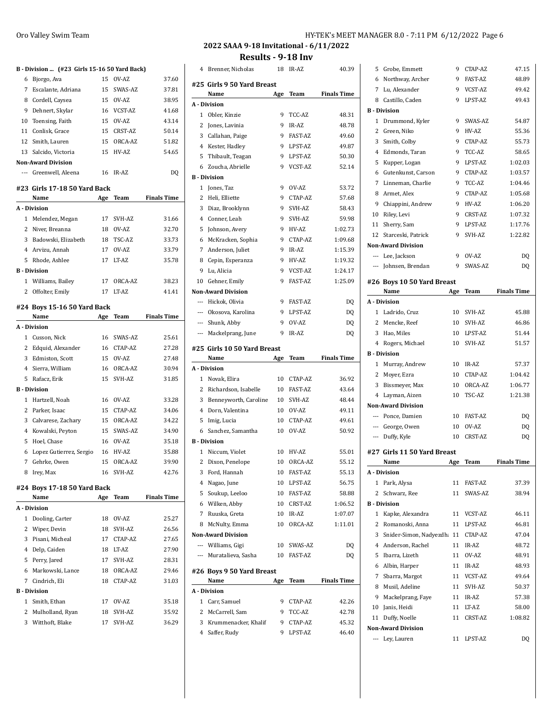## **B - Division ... (#23 Girls 15-16 50 Yard Back)** Bjorgo, Ava 15 OV-AZ 37.60 Escalante, Adriana 15 SWAS-AZ 37.81 Cordell, Caysea 15 OV-AZ 38.95 9 Dehnert, Skylar 16 VCST-AZ 41.68 Toensing, Faith 15 OV-AZ 43.14 11 Conlisk, Grace 15 CRST-AZ 50.14 Smith, Lauren 15 ORCA-AZ 51.82

|    | <b>Non-Award Division</b>    |     |         |                    |
|----|------------------------------|-----|---------|--------------------|
|    | --- Greenwell, Aleena        | 16  | IR-AZ   | DQ                 |
|    | #23 Girls 17-18 50 Yard Back |     |         |                    |
|    | Name                         | Age | Team    | <b>Finals Time</b> |
|    | A - Division                 |     |         |                    |
| 1  | Melendez, Megan              | 17  | SVH-AZ  | 31.66              |
| 2  | Niver. Breanna               | 18  | OVAZ    | 32.70              |
| 3  | Badowski, Elizabeth          | 18  | TSC-AZ  | 33.73              |
|    | 4 Arvizu, Annah              | 17  | OVAZ    | 33.79              |
| 5. | Rhode, Ashlee                | 17  | I.T-AZ  | 35.78              |
|    | <b>B</b> Division            |     |         |                    |
|    | 1 Williams, Bailey           | 17  | ORCA-AZ | 38.23              |

Offolter, Emily 17 LT-AZ 41.41

Salcido, Victoria 15 HV-AZ 54.65

#### **#24 Boys 15-16 50 Yard Back**

|   | Name                        | Age | Team       | <b>Finals Time</b> |
|---|-----------------------------|-----|------------|--------------------|
|   | A - Division                |     |            |                    |
| 1 | Cusson, Nick                | 16  | SWAS-AZ    | 25.61              |
| 2 | Edquid, Alexander           | 16  | CTAP-AZ    | 27.28              |
| 3 | Edmiston, Scott             | 15  | OV-AZ      | 27.48              |
|   | 4 Sierra, William           | 16  | ORCA-AZ    | 30.94              |
| 5 | Rafacz, Erik                | 15  | SVH-AZ     | 31.85              |
|   | <b>B</b> - Division         |     |            |                    |
| 1 | Hartzell, Noah              | 16  | OV-AZ      | 33.28              |
| 2 | Parker, Isaac               |     | 15 CTAP-AZ | 34.06              |
|   | 3 Calvarese, Zachary        | 15  | ORCA-AZ    | 34.22              |
| 4 | Kowalski, Peyton            | 15  | SWAS-AZ    | 34.90              |
| 5 | Hoel, Chase                 | 16  | OV-AZ      | 35.18              |
| 6 | Lopez Gutierrez, Sergio     |     | 16 HV-AZ   | 35.88              |
| 7 | Gehrke, Owen                |     | 15 ORCA-AZ | 39.90              |
| 8 | Irey, Max                   | 16  | SVH-AZ     | 42.76              |
|   | #24 Boys 17-18 50 Yard Back |     |            |                    |

## **Name Age Team Finals Time A - Division** Dooling, Carter 18 OV-AZ 25.27 Wiper, Devin 18 SVH-AZ 26.56 Pisani, Micheal 17 CTAP-AZ 27.65 Delp, Caiden 18 LT-AZ 27.90 Perry, Jared 17 SVH-AZ 28.31 Markowski, Lance 18 ORCA-AZ 29.46 Cindrich, Eli 18 CTAP-AZ 31.03 **B - Division** Smith, Ethan 17 OV-AZ 35.18 Mulholland, Ryan 18 SVH-AZ 35.92 Witthoft, Blake 17 SVH-AZ 36.29

# **2022 SAAA 9-18 Invitational - 6/11/2022**

**Results - 9-18 Inv**

| 4              | Brenner, Nicholas           | 18  | IR-AZ          | 40.39              |
|----------------|-----------------------------|-----|----------------|--------------------|
|                | #25 Girls 9 50 Yard Breast  |     |                |                    |
|                | Name                        | Age | Team           | <b>Finals Time</b> |
|                | A - Division                |     |                |                    |
| $\mathbf{1}$   | Obler, Kinzie               | 9   | TCC-AZ         | 48.31              |
| 2              | Jones, Lavinia              | 9   | IR-AZ          | 48.78              |
| 3              | Callahan, Paige             | 9   | <b>FAST-AZ</b> | 49.60              |
| 4              | Kester, Hadley              | 9   | LPST-AZ        | 49.87              |
| 5              | Thibault, Teagan            | 9   | LPST-AZ        | 50.30              |
| 6              | Zoucha, Abrielle            | 9   | VCST-AZ        | 52.14              |
|                | <b>B</b> - Division         |     |                |                    |
| $\mathbf{1}$   | Jones, Taz                  | 9   | OV-AZ          | 53.72              |
| $\overline{2}$ | Heli, Elliette              | 9   | CTAP-AZ        | 57.68              |
| 3              | Diaz, Brooklynn             | 9   | SVH-AZ         | 58.43              |
| 4              | Conner, Leah                | 9   | SVH-AZ         | 59.98              |
| 5              | Johnson, Avery              | 9   | HV-AZ          | 1:02.73            |
| 6              | McKracken, Sophia           | 9   | CTAP-AZ        | 1:09.68            |
| 7              | Anderson, Juliet            | 9   | IR-AZ          | 1:15.39            |
| 8              | Cepin, Esperanza            | 9   | HV-AZ          | 1:19.32            |
| 9              | Lu, Alicia                  | 9   | VCST-AZ        | 1:24.17            |
| 10             | Gehner, Emily               | 9   | <b>FAST-AZ</b> | 1:25.09            |
|                | <b>Non-Award Division</b>   |     |                |                    |
|                | --- Hickok, Olivia          | 9   | <b>FAST-AZ</b> | DQ                 |
| $---$          | Okosova, Karolina           | 9   | LPST-AZ        | DQ                 |
|                | --- Shunk, Abby             | 9   | OV-AZ          | DQ                 |
|                | --- Mackelprang, June       | 9   | IR-AZ          | DQ                 |
|                | #25 Girls 10 50 Yard Breast |     |                |                    |
|                |                             |     |                |                    |
|                | Name                        | Age | Team           | <b>Finals Time</b> |
|                | A - Division                |     |                |                    |
| $\mathbf{1}$   | Novak, Elira                | 10  | CTAP-AZ        | 36.92              |
| 2              | Richardson, Isabelle        | 10  | <b>FAST-AZ</b> | 43.64              |
| 3              | Benneyworth, Caroline       | 10  | SVH-AZ         | 48.44              |
|                | 4 Dorn, Valentina           | 10  | OV-AZ          | 49.11              |
| 5              | Imig, Lucia                 | 10  | CTAP-AZ        | 49.61              |
| 6              | Sanchez, Samantha           | 10  | OV-AZ          | 50.92              |
|                | <b>B</b> - Division         |     |                |                    |
| 1              | Niccum, Violet              | 10  | HV-AZ          | 55.01              |
| 2              | Dixon, Penelope             | 10  | ORCA-AZ        | 55.12              |
| 3              | Ford, Hannah                | 10  | FAST-AZ        | 55.13              |
| 4              | Nagao, June                 | 10  | LPST-AZ        | 56.75              |
| 5              | Soukup, Leeloo              | 10  | FAST-AZ        | 58.88              |
|                | 6 Wilken, Abby              | 10  | CRST-AZ        | 1:06.52            |
|                | 7 Ruuska, Greta             | 10  | IR-AZ          | 1:07.07            |
| 8              | McNulty, Emma               | 10  | ORCA-AZ        | 1:11.01            |
|                | <b>Non-Award Division</b>   |     |                |                    |
|                | --- Williams, Gigi          | 10  | SWAS-AZ        | DQ                 |
| $---$          | Muratalieva, Sasha          | 10  | <b>FAST-AZ</b> | DQ                 |
|                | #26 Boys 9 50 Yard Breast   |     |                |                    |
|                | Name                        | Age | Team           | <b>Finals Time</b> |
|                | A - Division                |     |                |                    |
| 1              | Carr, Samuel                | 9   | CTAP-AZ        | 42.26              |
|                | 2 McCarrell, Sam            | 9   | TCC-AZ         | 42.78              |
|                | 3 Krummenacker, Khalif      | 9   | CTAP-AZ        | 45.32              |

| 5              | Grobe, Emmett               | 9   | CTAP-AZ    | 47.15              |
|----------------|-----------------------------|-----|------------|--------------------|
| 6              | Northway, Archer            | 9   | FAST-AZ    | 48.89              |
|                | 7 Lu, Alexander             | 9   | VCST-AZ    | 49.42              |
|                | 8 Castillo, Caden           | 9   | LPST-AZ    | 49.43              |
|                | <b>B</b> - Division         |     |            |                    |
| 1              | Drummond, Kyler             | 9   | SWAS-AZ    | 54.87              |
| $\overline{2}$ | Green, Niko                 | 9   | HV-AZ      | 55.36              |
| 3              | Smith, Colby                | 9   | CTAP-AZ    | 55.73              |
| 4              | Edmonds, Taran              | 9   | TCC-AZ     | 58.65              |
| 5              | Kupper, Logan               | 9   | LPST-AZ    | 1:02.03            |
| 6              | Gutenkunst, Carson          | 9   | CTAP-AZ    | 1:03.57            |
| 7              | Linneman, Charlie           | 9   | TCC-AZ     | 1:04.46            |
| 8              | Armet, Alex                 | 9   | CTAP-AZ    | 1:05.68            |
| 9              | Chiappini, Andrew           | 9   | HV-AZ      | 1:06.20            |
| 10             | Riley, Levi                 | 9   | CRST-AZ    | 1:07.32            |
|                | 11 Sherry, Sam              | 9   | LPST-AZ    | 1:17.76            |
|                | 12 Starceski, Patrick       | 9   | SVH-AZ     | 1:22.82            |
|                | <b>Non-Award Division</b>   |     |            |                    |
|                | --- Lee, Jackson            | 9   | OV-AZ      | DQ                 |
|                | --- Johnsen, Brendan        | 9   | SWAS-AZ    | DQ                 |
|                |                             |     |            |                    |
|                | #26 Boys 10 50 Yard Breast  |     |            |                    |
|                | Name                        | Age | Team       | <b>Finals Time</b> |
|                | A - Division                |     |            |                    |
|                | 1 Ladrido, Cruz             | 10  | SVH-AZ     | 45.88              |
|                | 2 Mencke, Reef              | 10  | SVH-AZ     | 46.86              |
|                | 3 Hao, Miles                | 10  | LPST-AZ    | 51.44              |
|                | 4 Rogers, Michael           | 10  | SVH-AZ     | 51.57              |
|                | <b>B</b> - Division         |     |            |                    |
|                |                             |     |            |                    |
|                | 1 Murray, Andrew            | 10  | IR-AZ      | 57.37              |
|                | 2 Moyer, Ezra               | 10  | CTAP-AZ    | 1:04.42            |
|                | 3 Bissmeyer, Max            | 10  | ORCA-AZ    | 1:06.77            |
|                | 4 Layman, Aizen             | 10  | TSC-AZ     | 1:21.38            |
|                | <b>Non-Award Division</b>   |     |            |                    |
|                | --- Ponce, Damien           |     | 10 FAST-AZ | DQ                 |
|                | --- George, Owen            | 10  | OV-AZ      | DQ                 |
|                | --- Duffy, Kyle             | 10  | CRST-AZ    | DQ                 |
|                | #27 Girls 11 50 Yard Breast |     |            |                    |
|                | Name                        | Age | Team       | <b>Finals Time</b> |
|                | A - Division                |     |            |                    |
| $\mathbf{1}$   | Park, Alysa                 | 11  | FAST-AZ    | 37.39              |
| 2              | Schwarz, Ree                | 11  | SWAS-AZ    | 38.94              |
|                | <b>B</b> - Division         |     |            |                    |
|                | 1 Kapke, Alexandra          | 11  | VCST-AZ    | 46.11              |
| 2              | Romanoski, Anna             | 11  | LPST-AZ    | 46.81              |
| 3              | Snider-Simon, Nadyezdh: 11  |     | CTAP-AZ    | 47.04              |
| 4              | Anderson, Rachel            | 11  | IR-AZ      | 48.72              |
| 5              | Ibarra, Lizeth              | 11  | OV-AZ      | 48.91              |
| 6              | Albin, Harper               | 11  | IR-AZ      | 48.93              |
| 7              | Sbarra, Margot              | 11  | VCST-AZ    | 49.64              |
| 8              | Musil, Adeline              | 11  | SVH-AZ     | 50.37              |
| 9              | Mackelprang, Faye           | 11  | IR-AZ      | 57.38              |
| 10             | Janis, Heidi                | 11  | LT-AZ      | 58.00              |
| 11             | Duffy, Noelle               | 11  | CRST-AZ    | 1:08.82            |
|                | <b>Non-Award Division</b>   |     |            |                    |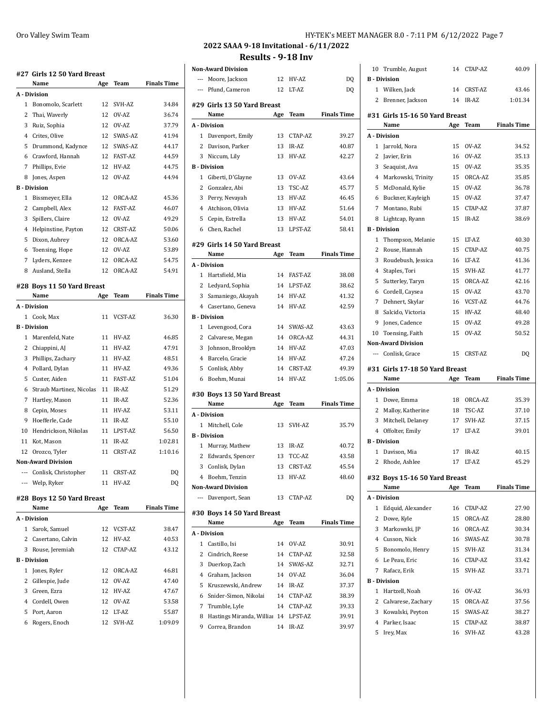|              | #27 Girls 12 50 Yard Breast        |     |                  |                    |
|--------------|------------------------------------|-----|------------------|--------------------|
|              | Name                               | Age | Team             | <b>Finals Time</b> |
|              | A - Division                       |     |                  |                    |
| $\mathbf{1}$ | Bonomolo, Scarlett                 | 12  | SVH-AZ           | 34.84              |
| 2            | Thai, Waverly                      | 12  | OVAZ             | 36.74              |
| 3            | Ruiz, Sophia                       | 12  | OV-AZ            | 37.79              |
|              | 4 Crites, Olive                    | 12  | SWAS-AZ          | 41.94              |
| 5            | Drummond, Kadynce                  | 12  | SWAS-AZ          | 44.17              |
| 6            | Crawford, Hannah                   | 12  | FAST-AZ          | 44.59              |
| 7            | Phillips, Evie                     | 12  | HV-AZ            | 44.75              |
| 8            | Jones, Aspen                       | 12  | OV-AZ            | 44.94              |
|              | <b>B</b> - Division                |     |                  |                    |
| 1            | Bissmeyer, Ella                    | 12  | ORCA-AZ          | 45.36              |
| 2            | Campbell, Alex                     | 12  | FAST-AZ          | 46.07              |
| 3            | Spillers, Claire                   | 12  | OV-AZ            | 49.29              |
| 4            | Helpinstine, Payton                | 12  | <b>CRST-AZ</b>   | 50.06              |
| 5            | Dixon, Aubrey                      | 12  | ORCA-AZ          | 53.60              |
| 6            | Toensing, Hope                     | 12  | OV-AZ            | 53.89              |
| 7            | Lyders, Kenzee                     | 12  | ORCA-AZ          | 54.75              |
| 8            | Ausland, Stella                    | 12  | ORCA-AZ          | 54.91              |
|              |                                    |     |                  |                    |
|              | #28 Boys 11 50 Yard Breast<br>Name | Age | Team             | <b>Finals Time</b> |
|              | A Division                         |     |                  |                    |
|              | 1 Cook. Max                        | 11  | VCST-AZ          | 36.30              |
|              | <b>B</b> - Division                |     |                  |                    |
| $\mathbf{1}$ | Marenfeld, Nate                    | 11  | HV-AZ            | 46.85              |
| 2            | Chiappini, AJ                      | 11  | HV-AZ            | 47.91              |
| 3            | Phillips, Zachary                  | 11  | HV-AZ            | 48.51              |
| 4            | Pollard, Dylan                     | 11  | HV-AZ            | 49.36              |
| 5            | Custer, Aiden                      | 11  | <b>FAST-AZ</b>   | 51.04              |
| 6            | Straub Martinez, Nicolas           | 11  | IR-AZ            | 51.29              |
| 7            | Hartley, Mason                     | 11  | IR-AZ            | 52.36              |
| 8            | Cepin, Moses                       | 11  | HV-AZ            | 53.11              |
| 9            | Hoefferle, Cade                    | 11  | IR-AZ            | 55.10              |
| 10           | Hendrickson, Nikolas               | 11  | LPST-AZ          | 56.50              |
| 11           | Kot, Mason                         | 11  | IR-AZ            | 1:02.81            |
| 12           | Orozco, Tyler                      | 11  | CRST-AZ          | 1:10.16            |
|              | <b>Non-Award Division</b>          |     |                  |                    |
|              | --- Conlisk, Christopher           | 11  | CRST-AZ          | DQ                 |
|              | --- Welp, Ryker                    | 11  | HV-AZ            | D <sub>0</sub>     |
|              |                                    |     |                  |                    |
|              | #28 Boys 12 50 Yard Breast         |     |                  |                    |
|              | Name                               | Age | Team             | <b>Finals Time</b> |
|              | A Division                         |     |                  |                    |
| 1            | Sarok, Samuel                      | 12  | VCST-AZ          | 38.47              |
| 2            | Casertano, Calvin                  | 12  | HV-AZ            | 40.53              |
| 3            | Rouse, Jeremiah                    | 12  | CTAP-AZ          | 43.12              |
| 1            | <b>B</b> - Division                | 12  |                  |                    |
|              | Jones, Ryler<br>2 Gillespie, Jude  | 12  | ORCA-AZ<br>OV-AZ | 46.81<br>47.40     |
|              |                                    |     |                  |                    |

 Green, Ezra 12 HV-AZ 47.67 Cordell, Owen 12 OV-AZ 53.58 Port, Aaron 12 LT-AZ 55.87 Rogers, Enoch 12 SVH-AZ 1:09.09

| Oro Valley Swim Team | HY-TEK's MEET MANAGER 8.0 - 7:11 PM 6/12/2022 Page 7                                                                                                                                                                                                                                             |  |
|----------------------|--------------------------------------------------------------------------------------------------------------------------------------------------------------------------------------------------------------------------------------------------------------------------------------------------|--|
|                      | $\mathbf{1}$ and $\mathbf{1}$ and $\mathbf{1}$ and $\mathbf{1}$ and $\mathbf{1}$ and $\mathbf{1}$ and $\mathbf{1}$ and $\mathbf{1}$ and $\mathbf{1}$ and $\mathbf{1}$ and $\mathbf{1}$ and $\mathbf{1}$ and $\mathbf{1}$ and $\mathbf{1}$ and $\mathbf{1}$ and $\mathbf{1}$ and $\mathbf{1}$ and |  |

**2022 SAAA 9-18 Invitational - 6/11/2022 Results - 9-18 Inv**

**Non-Award Division** --- Moore, Jackson 12 HV-AZ DQ --- Pfund, Cameron 12 LT-AZ DQ **#29 Girls 13 50 Yard Breast Name Age Team Finals Time A - Division** Davenport, Emily 13 CTAP-AZ 39.27 2 Davison, Parker 13 IR-AZ 40.87 Niccum, Lily 13 HV-AZ 42.27 **B - Division** 1 Giberti, D'Glayne 13 OV-AZ 43.64 Gonzalez, Abi 13 TSC-AZ 45.77 3 Perry, Nevayah 13 HV-AZ 46.45 Atchison, Olivia 13 HV-AZ 51.64 Cepin, Estrella 13 HV-AZ 54.01 Chen, Rachel 13 LPST-AZ 58.41 **#29 Girls 14 50 Yard Breast Name Age Team Finals Time A - Division** Hartsfield, Mia 14 FAST-AZ 38.08 Ledyard, Sophia 14 LPST-AZ 38.62 Samaniego, Akayah 14 HV-AZ 41.32 4 Casertano, Geneva 14 HV-AZ 42.59 **B - Division** Levengood, Cora 14 SWAS-AZ 43.63 2 Calvarese, Megan 14 ORCA-AZ 44.31 Johnson, Brooklyn 14 HV-AZ 47.03 Barcelo, Gracie 14 HV-AZ 47.24 Conlisk, Abby 14 CRST-AZ 49.39 Boehm, Munai 14 HV-AZ 1:05.06 **#30 Boys 13 50 Yard Breast Name Age Team Finals Time A - Division** Mitchell, Cole 13 SVH-AZ 35.79 **B - Division** 1 Murray, Mathew 13 IR-AZ 40.72 2 Edwards, Spencer 13 TCC-AZ 43.58 Conlisk, Dylan 13 CRST-AZ 45.54 Boehm, Tenzin 13 HV-AZ 48.60 **Non-Award Division** --- Davenport, Sean 13 CTAP-AZ DQ **#30 Boys 14 50 Yard Breast Name Age Team Finals Time A - Division** Castillo, Isi 14 OV-AZ 30.91 Cindrich, Reese 14 CTAP-AZ 32.58 Duerkop, Zach 14 SWAS-AZ 32.71 Graham, Jackson 14 OV-AZ 36.04 Kruszewski, Andrew 14 IR-AZ 37.37 Snider-Simon, Nikolai 14 CTAP-AZ 38.39 Trumble, Lyle 14 CTAP-AZ 39.33 8 Hastings Miranda, Williar 14 LPST-AZ 39.91 Correa, Brandon 14 IR-AZ 39.97

| 10           | Trumble, August                       | 14  | CTAP-AZ | 40.09              |
|--------------|---------------------------------------|-----|---------|--------------------|
|              | <b>B</b> - Division                   |     |         |                    |
| $\mathbf{1}$ | Wilken, Jack                          | 14  | CRST-AZ | 43.46              |
| 2            | Brenner, Jackson                      | 14  | IR-AZ   | 1:01.34            |
|              | #31 Girls 15-16 50 Yard Breast        |     |         |                    |
|              | Name                                  | Age | Team    | <b>Finals Time</b> |
|              | A - Division                          |     |         |                    |
| 1            | Jarrold, Nora                         | 15  | OV-AZ   | 34.52              |
| 2            | Javier, Erin                          | 16  | OV-AZ   | 35.13              |
| 3            | Seaquist, Ava                         | 15  | OV-AZ   | 35.35              |
| 4            | Markowski, Trinity                    | 15  | ORCA-AZ | 35.85              |
| 5            | McDonald, Kylie                       | 15  | OV-AZ   | 36.78              |
| 6            | Buckner, Kayleigh                     | 15  | OV-AZ   | 37.47              |
| 7            | Montano, Rubi                         | 15  | CTAP-AZ | 37.87              |
| 8            | Lightcap, Ryann                       | 15  | IR-AZ   | 38.69              |
|              | <b>B</b> - Division                   |     |         |                    |
| 1            | Thompson, Melanie                     | 15  | LT-AZ   | 40.30              |
| 2            | Rouse, Hannah                         | 15  | CTAP-AZ | 40.75              |
| 3            | Roudebush, Jessica                    | 16  | LT-AZ   | 41.36              |
| 4            | Staples, Tori                         | 15  | SVH-AZ  | 41.77              |
| 5            | Sutterley, Taryn                      | 15  | ORCA-AZ | 42.16              |
|              | 6 Cordell, Caysea                     | 15  | OV-AZ   | 43.70              |
| 7            | Dehnert, Skylar                       | 16  | VCST-AZ | 44.76              |
| 8            | Salcido, Victoria                     | 15  | HV-AZ   | 48.40              |
| 9            | Jones, Cadence                        | 15  | OV-AZ   | 49.28              |
|              | 10 Toensing, Faith                    | 15  | OV-AZ   | 50.52              |
|              | <b>Non-Award Division</b>             |     |         |                    |
|              |                                       |     |         |                    |
|              |                                       |     |         |                    |
|              | --- Conlisk, Grace                    | 15  | CRST-AZ | DQ                 |
|              | #31 Girls 17-18 50 Yard Breast        |     |         |                    |
|              | Name                                  | Age | Team    | <b>Finals Time</b> |
|              | A - Division                          |     |         |                    |
| 1            | Dowe, Emma                            | 18  | ORCA-AZ | 35.39              |
| $\mathbf{2}$ | Malloy, Katherine                     | 18  | TSC-AZ  | 37.10              |
| 3            | Mitchell, Delaney                     | 17  | SVH-AZ  | 37.15              |
|              | 4 Offolter, Emily                     | 17  | LT-AZ   | 39.01              |
|              | <b>B</b> - Division                   |     |         |                    |
| 1            | Davison, Mia                          | 17  | IR-AZ   | 40.15              |
|              | 2 Rhode, Ashlee                       | 17  | LT-AZ   | 45.29              |
|              |                                       |     |         |                    |
|              | #32 Boys 15-16 50 Yard Breast<br>Name | Age | Team    | <b>Finals Time</b> |
|              | A - Division                          |     |         |                    |
| 1            | Edquid, Alexander                     | 16  | CTAP-AZ | 27.90              |
| 2            | Dowe, Kyle                            | 15  | ORCA-AZ | 28.80              |
| 3            | Markowski, JP                         | 16  | ORCA-AZ | 30.34              |
|              | 4 Cusson, Nick                        | 16  | SWAS-AZ | 30.78              |
| 5            | Bonomolo, Henry                       | 15  | SVH-AZ  | 31.34              |
| 6            | Le Peau, Eric                         | 16  | CTAP-AZ | 33.42              |
| 7            |                                       | 15  | SVH-AZ  | 33.71              |
|              | Rafacz, Erik<br><b>B</b> - Division   |     |         |                    |
| 1            | Hartzell, Noah                        | 16  | OV-AZ   | 36.93              |
| 2            | Calvarese, Zachary                    | 15  | ORCA-AZ | 37.56              |
| 3            | Kowalski, Peyton                      | 15  | SWAS-AZ | 38.27              |
| 4            | Parker, Isaac                         | 15  | CTAP-AZ | 38.87              |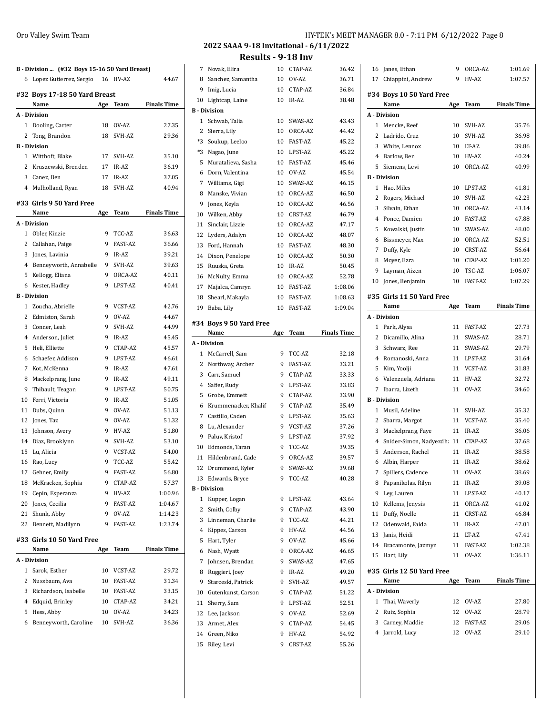| 6            | Lopez Gutierrez, Sergio 16 HV-AZ |     |                | 44.67              |
|--------------|----------------------------------|-----|----------------|--------------------|
|              | #32 Boys 17-18 50 Yard Breast    |     |                |                    |
|              | Name                             | Age | Team           | <b>Finals Time</b> |
|              | A - Division                     |     |                |                    |
| $\mathbf{1}$ | Dooling, Carter                  |     | 18 OV-AZ       | 27.35              |
| 2            | Tong, Brandon                    | 18  | SVH-AZ         | 29.36              |
|              | <b>B</b> - Division              |     |                |                    |
|              | 1 Witthoft, Blake                | 17  | SVH-AZ         | 35.10              |
| $\mathbf{2}$ | Kruszewski, Brenden              |     | 17 IR-AZ       | 36.19              |
|              | 3 Canez, Ben                     |     | 17 IR-AZ       | 37.05              |
|              | 4 Mulholland, Ryan               | 18  | SVH-AZ         | 40.94              |
|              | #33 Girls 9 50 Yard Free         |     |                |                    |
|              | Name                             | Age | Team           | <b>Finals Time</b> |
|              | A - Division                     |     |                |                    |
|              | 1 Obler, Kinzie                  | 9   | TCC-AZ         | 36.63              |
|              | 2 Callahan, Paige                | 9   | <b>FAST-AZ</b> | 36.66              |
|              | 3 Jones, Lavinia                 | 9   | IR-AZ          | 39.21              |
|              | 4 Benneyworth, Annabelle         | 9   | SVH-AZ         | 39.63              |
| 5            | Kellogg, Eliana                  |     | 9 ORCA-AZ      | 40.11              |
| 6            | Kester, Hadley                   | 9   | LPST-AZ        | 40.41              |
|              | <b>B</b> - Division              |     |                |                    |
| $\mathbf{1}$ | Zoucha, Abrielle                 | 9   | VCST-AZ        | 42.76              |
|              | 2 Edmiston, Sarah                |     | 9 OV-AZ        | 44.67              |
| 3            | Conner, Leah                     | 9   | SVH-AZ         | 44.99              |
|              | 4 Anderson, Juliet               | 9   | IR-AZ          | 45.45              |
| 5            | Heli, Elliette                   | 9   | CTAP-AZ        | 45.57              |
| 6            | Schaefer, Addison                | 9   | LPST-AZ        | 46.61              |
| 7            | Kot, McKenna                     | 9   | IR-AZ          | 47.61              |
| 8            | Mackelprang, June                | 9   | IR-AZ          | 49.11              |
| 9            | Thibault, Teagan                 | 9   | LPST-AZ        | 50.75              |
| 10           | Ferri, Victoria                  | 9   | IR-AZ          | 51.05              |
| 11           | Dubs, Quinn                      | 9   | OV-AZ          | 51.13              |
| 12           | Jones, Taz                       | 9   | OV-AZ          | 51.32              |
| 13           | Johnson, Avery                   |     | 9 HV-AZ        | 51.80              |
|              | 14 Diaz, Brooklynn               | 9   | SVH-AZ         | 53.10              |
|              | 15 Lu, Alicia                    | 9   | VCST-AZ        | 54.00              |
|              | 16 Rao, Lucy                     | 9   | TCC-AZ         | 55.42              |
| 17           | Gehner, Emily                    | 9   | <b>FAST-AZ</b> | 56.80              |
| 18           | McKracken, Sophia                | 9   | CTAP-AZ        | 57.37              |
|              | 19 Cepin, Esperanza              | 9   | HV-AZ          | 1:00.96            |
|              | 20 Jones, Cecilia                | 9   | FAST-AZ        | 1:04.67            |
| 21           | Shunk, Abby                      | 9   | OV-AZ          | 1:14.23            |
| 22           | Bennett, Madilynn                | 9   | FAST-AZ        | 1:23.74            |
|              | #33 Girls 10 50 Yard Free        |     |                |                    |
|              | Name                             | Age | Team           | <b>Finals Time</b> |
|              | A - Division                     |     |                |                    |
| 1            | Sarok, Esther                    | 10  | VCST-AZ        | 29.72              |
| 2            | Nussbaum, Ava                    |     | 10 FAST-AZ     | 31.34              |
| 3            | Richardson, Isabelle             |     | 10 FAST-AZ     | 33.15              |
|              | 4 Edquid, Brinley                |     | 10 CTAP-AZ     | 34.21              |
| 5            | Hess, Abby                       |     | 10 OV-AZ       | 34.23              |
| 6            | Benneyworth, Caroline            | 10  | SVH-AZ         | 36.36              |

| 7  | Novak, Elira            | 10  | CTAP-AZ        | 36.42              |
|----|-------------------------|-----|----------------|--------------------|
| 8  | Sanchez, Samantha       | 10  | OV-AZ          | 36.71              |
| 9  | Imig, Lucia             | 10  | CTAP-AZ        | 36.84              |
| 10 | Lightcap, Laine         | 10  | IR-AZ          | 38.48              |
|    | <b>B</b> - Division     |     |                |                    |
| 1  | Schwab, Talia           | 10  | SWAS-AZ        | 43.43              |
| 2  | Sierra, Lily            | 10  | ORCA-AZ        | 44.42              |
| *3 | Soukup, Leeloo          | 10  | FAST-AZ        | 45.22              |
| *3 | Nagao, June             | 10  | LPST-AZ        | 45.22              |
| 5  | Muratalieva, Sasha      | 10  | <b>FAST-AZ</b> | 45.46              |
| 6  | Dorn, Valentina         | 10  | OV-AZ          | 45.54              |
| 7  | Williams, Gigi          | 10  | SWAS-AZ        | 46.15              |
| 8  | Manske, Vivian          | 10  | ORCA-AZ        | 46.50              |
| 9  | Jones, Keyla            | 10  | ORCA-AZ        | 46.56              |
| 10 | Wilken, Abby            | 10  | CRST-AZ        | 46.79              |
| 11 | Sinclair, Lizzie        | 10  | ORCA-AZ        | 47.17              |
| 12 | Lyders, Adalyn          | 10  | ORCA-AZ        | 48.07              |
| 13 | Ford, Hannah            | 10  | FAST-AZ        | 48.30              |
| 14 | Dixon, Penelope         | 10  | ORCA-AZ        | 50.30              |
| 15 | Ruuska, Greta           | 10  | IR-AZ          | 50.45              |
| 16 | McNulty, Emma           | 10  | ORCA-AZ        | 52.78              |
|    |                         |     |                |                    |
|    | 17 Majalca, Camryn      | 10  | FAST-AZ        | 1:08.06            |
| 18 | Shearl, Makayla         | 10  | FAST-AZ        | 1:08.63            |
| 19 | Baba, Lily              | 10  | FAST-AZ        | 1:09.04            |
|    | #34 Boys 9 50 Yard Free |     |                |                    |
|    | Name                    | Age | Team           | <b>Finals Time</b> |
|    | A - Division            |     |                |                    |
|    | 1 McCarrell, Sam        | 9   | TCC-AZ         | 32.18              |
| 2  | Northway, Archer        | 9   | <b>FAST-AZ</b> | 33.21              |
| 3  | Carr, Samuel            | 9   | CTAP-AZ        | 33.33              |
| 4  | Saffer, Rudy            | 9   | LPST-AZ        | 33.83              |
| 5  | Grobe, Emmett           | 9   | CTAP-AZ        | 33.90              |
| 6  | Krummenacker, Khalif    | 9   | CTAP-AZ        | 35.49              |
| 7  | Castillo, Caden         | 9   | LPST-AZ        | 35.63              |
| 8  | Lu, Alexander           | 9   | VCST-AZ        | 37.26              |
| 9  | Paluv, Kristof          | 9   | LPST-AZ        | 37.92              |
| 10 | Edmonds, Taran          | 9   | TCC-AZ         | 39.35              |
| 11 | Hildenbrand, Cade       | 9   | ORCA-AZ        | 39.57              |
| 12 | Drummond, Kyler         | 9   | SWAS-AZ        | 39.68              |
| 13 | Edwards, Bryce          | 9   | TCC-AZ         | 40.28              |
|    | <b>B</b> - Division     |     |                |                    |
| 1  | Kupper, Logan           | 9   | LPST-AZ        | 43.64              |
| 2  | Smith, Colby            | 9   | CTAP-AZ        | 43.90              |
| 3  | Linneman, Charlie       | 9   | TCC-AZ         | 44.21              |
| 4  | Kippes, Carson          | 9   | HV-AZ          | 44.56              |
| 5  | Hart, Tyler             | 9   | OV-AZ          | 45.66              |
| 6  | Nash, Wyatt             | 9   | ORCA-AZ        | 46.65              |
| 7  | Johnsen, Brendan        | 9   | SWAS-AZ        | 47.65              |
| 8  | Ruggieri, Joey          | 9   | IR-AZ          | 49.20              |
| 9  | Starceski, Patrick      | 9   | SVH-AZ         | 49.57              |
| 10 | Gutenkunst, Carson      | 9   | CTAP-AZ        | 51.22              |
| 11 | Sherry, Sam             | 9   | LPST-AZ        | 52.51              |
| 12 | Lee, Jackson            | 9   | OV-AZ          | 52.69              |
| 13 | Armet, Alex             | 9   | CTAP-AZ        | 54.45              |
| 14 | Green, Niko             | 9   | HV-AZ          |                    |
| 15 | Riley, Levi             | 9   | CRST-AZ        | 54.92<br>55.26     |
|    |                         |     |                |                    |

| 16             | Janes, Ethan                      | 9   | ORCA-AZ        | 1:01.69            |
|----------------|-----------------------------------|-----|----------------|--------------------|
| 17             | Chiappini, Andrew                 | 9   | HV-AZ          | 1:07.57            |
|                | #34 Boys 10 50 Yard Free<br>Name  | Age | Team           | <b>Finals Time</b> |
|                | A - Division                      |     |                |                    |
|                | 1 Mencke, Reef                    | 10  | SVH-AZ         | 35.76              |
|                | 2 Ladrido, Cruz                   | 10  | SVH-AZ         | 36.98              |
|                | 3 White, Lennox                   | 10  | LT-AZ          | 39.86              |
| 4              | Barlow, Ben                       | 10  | HV-AZ          | 40.24              |
| 5              | Siemens, Levi                     | 10  | ORCA-AZ        | 40.99              |
|                | <b>B</b> - Division               |     |                |                    |
| 1              | Hao, Miles                        | 10  | LPST-AZ        | 41.81              |
| 2              | Rogers, Michael                   | 10  | SVH-AZ         | 42.23              |
| 3              | Silvain, Ethan                    | 10  | ORCA-AZ        | 43.14              |
| 4              |                                   |     | FAST-AZ        |                    |
|                | Ponce, Damien                     | 10  |                | 47.88              |
| 5              | Kowalski, Justin                  | 10  | SWAS-AZ        | 48.00              |
| 6              | Bissmeyer, Max                    | 10  | ORCA-AZ        | 52.51              |
| 7              | Duffy, Kyle                       | 10  | CRST-AZ        | 56.64              |
| 8              | Moyer, Ezra                       | 10  | CTAP-AZ        | 1:01.20            |
| 9              | Layman, Aizen                     | 10  | TSC-AZ         | 1:06.07            |
| 10             | Jones, Benjamin                   | 10  | FAST-AZ        | 1:07.29            |
|                | #35 Girls 11 50 Yard Free         |     |                |                    |
|                | Name                              | Age | Team           | <b>Finals Time</b> |
|                | A - Division                      |     |                |                    |
| 1              | Park, Alysa                       | 11  | <b>FAST-AZ</b> | 27.73              |
|                | 2 Dicamillo, Alina                | 11  | SWAS-AZ        | 28.71              |
|                | 3 Schwarz, Ree                    | 11  | SWAS-AZ        | 29.79              |
|                | 4 Romanoski, Anna                 | 11  | LPST-AZ        | 31.64              |
|                | 5 Kim, Yoolji                     | 11  | VCST-AZ        | 31.83              |
| 6              | Valenzuela, Adriana               | 11  | HV-AZ          | 32.72              |
| 7              | Ibarra, Lizeth                    | 11  | OV-AZ          | 34.60              |
|                | <b>B</b> - Division               |     |                |                    |
| $\mathbf{1}$   | Musil, Adeline                    | 11  | SVH-AZ         | 35.32              |
|                | 2 Sbarra, Margot                  | 11  | VCST-AZ        | 35.40              |
| 3              | Mackelprang, Faye                 | 11  | IR-AZ          | 36.06              |
| $\overline{4}$ | Snider-Simon, Nadyezdh: 11        |     | CTAP-AZ        | 37.68              |
| 5              | Anderson, Rachel                  | 11  | IR-AZ          | 38.58              |
|                | 6 Albin, Harper                   | 11  | IR-AZ          | 38.62              |
| 7              | Spillers, Cadence                 | 11  | OV-AZ          | 38.69              |
| 8              | Papanikolas, Rilyn                | 11  | IR-AZ          | 39.08              |
| 9              | Ley, Lauren                       | 11  | LPST-AZ        | 40.17              |
| 10             | Kellems, Jenysis                  | 11  | ORCA-AZ        | 41.02              |
| 11             | Duffy, Noelle                     | 11  | CRST-AZ        | 46.84              |
| 12             | Odenwald, Faida                   | 11  | IR-AZ          | 47.01              |
| 13             | Janis, Heidi                      | 11  | LT-AZ          | 47.41              |
| 14             | Bracamonte, Jazmyn                | 11  | <b>FAST-AZ</b> | 1:02.38            |
| 15             | Hart, Lily                        | 11  | OV-AZ          | 1:36.11            |
|                |                                   |     |                |                    |
|                | #35 Girls 12 50 Yard Free<br>Name | Age | Team           | <b>Finals Time</b> |
|                | A Division                        |     |                |                    |
| 1              | Thai, Waverly                     | 12  | OV-AZ          | 27.80              |
| 2              | Ruiz, Sophia                      | 12  | OV-AZ          | 28.79              |
| 3              | Carney, Maddie                    | 12  | FAST-AZ        | 29.06              |
| 4              | Jarrold, Lucy                     | 12  | OV-AZ          | 29.10              |
|                |                                   |     |                |                    |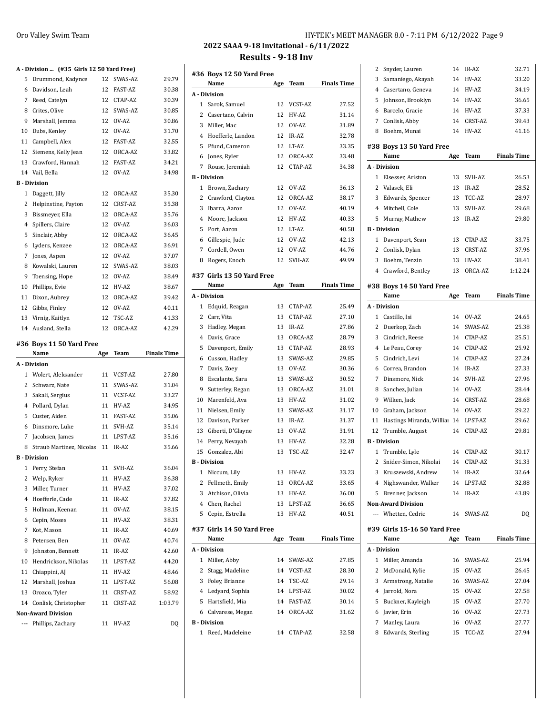## **A - Division ... (#35 Girls 12 50 Yard Free)**

|                          | $P1$ $P2$ $P3$ $P4$ $P5$ $P6$ $P7$ $P8$ $P9$ $P1$ $P1$ $P1$ $P1$ |     |            |                    |
|--------------------------|------------------------------------------------------------------|-----|------------|--------------------|
| 5                        | Drummond, Kadynce                                                |     | 12 SWAS-AZ | 29.79              |
| 6                        | Davidson, Leah                                                   | 12  | FAST-AZ    | 30.38              |
| 7                        | Reed, Catelyn                                                    |     | 12 CTAP-AZ | 30.39              |
| 8                        | Crites, Olive                                                    | 12  | SWAS-AZ    | 30.85              |
| 9                        | Marshall, Jemma                                                  | 12  | OV-AZ      | 30.86              |
| 10                       | Dubs, Kenley                                                     | 12  | OV-AZ      | 31.70              |
| 11                       | Campbell, Alex                                                   | 12  | FAST-AZ    | 32.55              |
| 12                       | Siemens, Kelly Jean                                              | 12  | ORCA-AZ    | 33.82              |
|                          | 13 Crawford, Hannah                                              | 12  | FAST-AZ    | 34.21              |
|                          | 14 Vail, Bella                                                   | 12  | OV-AZ      | 34.98              |
|                          | <b>B</b> - Division                                              |     |            |                    |
| 1                        | Daggett, Jilly                                                   | 12  | ORCA-AZ    | 35.30              |
| 2                        | Helpinstine, Payton                                              | 12  | CRST-AZ    | 35.38              |
| 3                        | Bissmeyer, Ella                                                  | 12  | ORCA-AZ    | 35.76              |
| 4                        | Spillers, Claire                                                 | 12  | OV-AZ      | 36.03              |
| 5                        | Sinclair, Abby                                                   | 12  | ORCA-AZ    | 36.45              |
| 6                        | Lyders, Kenzee                                                   | 12  | ORCA-AZ    | 36.91              |
| 7                        | Jones, Aspen                                                     | 12  | OV-AZ      |                    |
|                          |                                                                  |     |            | 37.07              |
| 8                        | Kowalski, Lauren                                                 | 12  | SWAS-AZ    | 38.03              |
| 9                        | Toensing, Hope                                                   | 12  | OV-AZ      | 38.49              |
| 10                       | Phillips, Evie                                                   | 12  | HV-AZ      | 38.67              |
| 11                       | Dixon, Aubrey                                                    | 12  | ORCA-AZ    | 39.42              |
|                          | 12 Gibbs, Finley                                                 |     | 12 OV-AZ   | 40.11              |
|                          | 13 Virnig, Kaitlyn                                               | 12  | TSC-AZ     | 41.33              |
|                          | 14 Ausland, Stella                                               | 12  | ORCA-AZ    | 42.29              |
|                          | #36 Boys 11 50 Yard Free                                         |     |            |                    |
|                          |                                                                  |     |            |                    |
|                          | Name                                                             |     | Team       | <b>Finals Time</b> |
|                          | A - Division                                                     | Age |            |                    |
|                          |                                                                  |     |            |                    |
| 2                        | 1 Wolert, Aleksander                                             | 11  | VCST-AZ    | 27.80              |
|                          | Schwarz, Nate                                                    | 11  | SWAS-AZ    | 31.04              |
| 3                        | Sakali, Sergius                                                  |     | 11 VCST-AZ | 33.27              |
| 4                        | Pollard, Dylan                                                   | 11  | HV-AZ      | 34.95              |
| 5                        | Custer, Aiden                                                    | 11  | FAST-AZ    | 35.06              |
| 6                        | Dinsmore, Luke                                                   |     | 11 SVH-AZ  | 35.14              |
| 7                        | Jacobsen, James                                                  | 11  | LPST-AZ    | 35.16              |
| 8                        | Straub Martinez, Nicolas                                         | 11  | IR-AZ      | 35.66              |
|                          | <b>B</b> - Division                                              |     |            |                    |
| $\mathbf{1}$             | Perry, Stefan                                                    | 11  | SVH-AZ     | 36.04              |
| 2                        | Welp, Ryker                                                      | 11  | HV-AZ      | 36.38              |
| 3                        | Miller, Turner                                                   | 11  | HV-AZ      | 37.02              |
| 4                        | Hoefferle, Cade                                                  | 11  | IR-AZ      | 37.82              |
| 5                        | Hollman, Keenan                                                  | 11  | OV-AZ      | 38.15              |
| 6                        | Cepin, Moses                                                     | 11  | HV-AZ      | 38.31              |
| 7                        | Kot, Mason                                                       | 11  | IR-AZ      | 40.69              |
| 8                        | Petersen, Ben                                                    | 11  | OV-AZ      | 40.74              |
| 9                        | Johnston, Bennett                                                | 11  | IR-AZ      | 42.60              |
| 10                       | Hendrickson, Nikolas                                             | 11  | LPST-AZ    | 44.20              |
| 11                       | Chiappini, AJ                                                    | 11  | HV-AZ      | 48.46              |
| 12                       | Marshall, Joshua                                                 | 11  | LPST-AZ    | 56.08              |
|                          | 13 Orozco, Tyler                                                 | 11  | CRST-AZ    | 58.92              |
|                          | 14 Conlisk, Christopher                                          | 11  | CRST-AZ    | 1:03.79            |
|                          | <b>Non-Award Division</b>                                        |     |            |                    |
| $\overline{\phantom{a}}$ | Phillips, Zachary                                                | 11  | HV-AZ      | DQ                 |

## **2022 SAAA 9-18 Invitational - 6/11/2022 Results - 9-18 Inv**

|              | #36 Boys 12 50 Yard Free  |     |            |                    |
|--------------|---------------------------|-----|------------|--------------------|
|              | Name                      | Age | Team       | <b>Finals Time</b> |
|              | A - Division              |     |            |                    |
| 1            | Sarok, Samuel             | 12  | VCST-AZ    | 27.52              |
| 2            | Casertano, Calvin         | 12  | HV-AZ      | 31.14              |
| 3            | Miller, Mac               | 12  | OV-AZ      | 31.89              |
| 4            | Hoefferle, Landon         | 12  | IR-AZ      | 32.78              |
| 5            | Pfund, Cameron            | 12  | LT-AZ      | 33.35              |
| 6            | Jones, Ryler              | 12  | ORCA-AZ    | 33.48              |
| 7            | Rouse, Jeremiah           | 12  | CTAP-AZ    | 34.38              |
|              | <b>B</b> - Division       |     |            |                    |
| 1            | Brown, Zachary            | 12  | OV-AZ      | 36.13              |
| 2            | Crawford, Clayton         | 12  | ORCA-AZ    | 38.17              |
| 3            | Ibarra, Aaron             | 12  | OV-AZ      | 40.19              |
| 4            | Moore, Jackson            | 12  | HV-AZ      | 40.33              |
| 5            | Port, Aaron               | 12  | LT-AZ      | 40.58              |
| 6            | Gillespie, Jude           | 12  | OV-AZ      | 42.13              |
| 7            | Cordell, Owen             | 12  | OV-AZ      | 44.76              |
| 8            | Rogers, Enoch             | 12  | SVH-AZ     | 49.99              |
|              |                           |     |            |                    |
|              | #37 Girls 13 50 Yard Free |     |            |                    |
|              | Name                      | Age | Team       | <b>Finals Time</b> |
|              | A - Division              |     |            |                    |
| 1            | Edquid, Reagan            | 13  | CTAP-AZ    | 25.49              |
| 2            | Carr, Vita                | 13  | CTAP-AZ    | 27.10              |
| 3            | Hadley, Megan             | 13  | IR-AZ      | 27.86              |
| 4            | Davis, Grace              | 13  | ORCA-AZ    | 28.79              |
| 5            | Davenport, Emily          | 13  | CTAP-AZ    | 28.93              |
| 6            | Cusson, Hadley            | 13  | SWAS-AZ    | 29.85              |
| 7            | Davis, Zoey               | 13  | OV-AZ      | 30.36              |
| 8            | Escalante, Sara           | 13  | SWAS-AZ    | 30.52              |
| 9            | Sutterley, Regan          | 13  | ORCA-AZ    | 31.01              |
| 10           | Marenfeld, Ava            | 13  | HV-AZ      | 31.02              |
| 11           | Nielsen, Emily            | 13  | SWAS-AZ    | 31.17              |
| 12           | Davison, Parker           | 13  | IR-AZ      | 31.37              |
| 13           | Giberti, D'Glayne         | 13  | OV-AZ      | 31.91              |
| 14           | Perry, Nevayah            | 13  | HV-AZ      | 32.28              |
| 15           | Gonzalez, Abi             | 13  | TSC-AZ     | 32.47              |
|              | <b>B</b> - Division       |     |            |                    |
|              | 1 Niccum, Lily            | 13  | HV-AZ      | 33.23              |
| 2            | Fellmeth, Emily           | 13  | ORCA-AZ    | 33.65              |
| 3            | Atchison, Olivia          | 13  | HV-AZ      | 36.00              |
|              | 4 Chen, Rachel            | 13  | LPST-AZ    | 36.65              |
| 5            | Cepin, Estrella           | 13  | HV-AZ      | 40.51              |
|              |                           |     |            |                    |
|              | #37 Girls 14 50 Yard Free |     |            |                    |
|              | Name                      | Age | Team       | <b>Finals Time</b> |
|              | A - Division              |     |            |                    |
| 1            | Miller, Abby              | 14  | SWAS-AZ    | 27.85              |
| 2            | Stagg, Madeline           | 14  | VCST-AZ    | 28.30              |
| 3            | Foley, Brianne            | 14  | TSC-AZ     | 29.14              |
| 4            | Ledyard, Sophia           | 14  | LPST-AZ    | 30.02              |
| 5            | Hartsfield, Mia           | 14  | FAST-AZ    | 30.14              |
| 6            | Calvarese, Megan          | 14  | ORCA-AZ    | 31.62              |
|              | <b>B</b> - Division       |     |            |                    |
| $\mathbf{1}$ | Reed, Madeleine           |     | 14 CTAP-AZ | 32.58              |

| 2              | Snyder, Lauren                   | 14  | IR-AZ    | 32.71              |  |  |
|----------------|----------------------------------|-----|----------|--------------------|--|--|
| 3              | Samaniego, Akayah                | 14  | HV-AZ    | 33.20              |  |  |
| 4              | Casertano, Geneva                | 14  | HV-AZ    | 34.19              |  |  |
| 5              | Johnson, Brooklyn                | 14  | HV-AZ    | 36.65              |  |  |
| 6              | Barcelo, Gracie                  | 14  | HV-AZ    | 37.33              |  |  |
| $7^{\circ}$    | Conlisk, Abby                    | 14  | CRST-AZ  | 39.43              |  |  |
| 8              | Boehm, Munai                     | 14  | HV-AZ    | 41.16              |  |  |
|                |                                  |     |          |                    |  |  |
|                | #38 Boys 13 50 Yard Free<br>Name | Age | Team     | <b>Finals Time</b> |  |  |
|                | A - Division                     |     |          |                    |  |  |
| 1              | Elsesser. Ariston                | 13  | SVH-AZ   | 26.53              |  |  |
|                | 2 Valasek, Eli                   | 13  | IR-AZ    | 28.52              |  |  |
|                | 3 Edwards, Spencer               | 13  | TCC-AZ   | 28.97              |  |  |
|                | 4 Mitchell, Cole                 | 13  | SVH-AZ   | 29.68              |  |  |
| 5              | Murray, Mathew                   | 13  | IR-AZ    | 29.80              |  |  |
|                | <b>B</b> - Division              |     |          |                    |  |  |
| 1              | Davenport, Sean                  | 13  | CTAP-AZ  | 33.75              |  |  |
| $\mathbf{2}$   | Conlisk, Dylan                   | 13  | CRST-AZ  | 37.96              |  |  |
| 3              | Boehm, Tenzin                    | 13  | HV-AZ    | 38.41              |  |  |
| $4^{\circ}$    | Crawford, Bentley                | 13  | ORCA-AZ  | 1:12.24            |  |  |
|                |                                  |     |          |                    |  |  |
|                | #38 Boys 14 50 Yard Free<br>Name | Age | Team     | <b>Finals Time</b> |  |  |
|                | A - Division                     |     |          |                    |  |  |
|                | 1 Castillo, Isi                  |     | 14 OV-AZ | 24.65              |  |  |
|                | 2 Duerkop, Zach                  | 14  | SWAS-AZ  | 25.38              |  |  |
| 3              | Cindrich, Reese                  | 14  | CTAP-AZ  | 25.51              |  |  |
| $^{4}$         | Le Peau, Corey                   | 14  | CTAP-AZ  | 25.92              |  |  |
| 5              | Cindrich, Levi                   | 14  | CTAP-AZ  | 27.24              |  |  |
| 6              | Correa, Brandon                  | 14  | IR-AZ    | 27.33              |  |  |
| 7              | Dinsmore, Nick                   | 14  | SVH-AZ   | 27.96              |  |  |
| 8              | Sanchez, Julian                  | 14  | OV-AZ    | 28.44              |  |  |
| 9              | Wilken, Jack                     | 14  | CRST-AZ  | 28.68              |  |  |
| 10             | Graham, Jackson                  | 14  | OV-AZ    | 29.22              |  |  |
| 11             | Hastings Miranda, Willia 14      |     | LPST-AZ  | 29.62              |  |  |
|                | 12 Trumble, August               | 14  | CTAP-AZ  | 29.81              |  |  |
|                | <b>B</b> - Division              |     |          |                    |  |  |
| 1              | Trumble, Lyle                    | 14  | CTAP-AZ  | 30.17              |  |  |
| 2              | Snider-Simon, Nikolai            | 14  | CTAP-AZ  | 31.33              |  |  |
| 3              | Kruszewski, Andrew               | 14  | IR-AZ    | 32.64              |  |  |
| $\overline{4}$ | Nighswander, Walker              | 14  | LPST-AZ  | 32.88              |  |  |
| 5              | Brenner, Jackson                 | 14  | IR-AZ    | 43.89              |  |  |
|                | <b>Non-Award Division</b>        |     |          |                    |  |  |
| $\overline{a}$ | Whetten, Cedric                  | 14  | SWAS-AZ  | DQ                 |  |  |
|                | #39 Girls 15-16 50 Yard Free     |     |          |                    |  |  |
|                | Name                             | Age | Team     | <b>Finals Time</b> |  |  |
|                | A - Division                     |     |          |                    |  |  |
| 1              | Miller, Amanda                   | 16  | SWAS-AZ  | 25.94              |  |  |
| 2              | McDonald, Kylie                  | 15  | OV-AZ    | 26.45              |  |  |
| 3              | Armstrong, Natalie               | 16  | SWAS-AZ  | 27.04              |  |  |
| $^{4}$         | Jarrold, Nora                    | 15  | OV-AZ    | 27.58              |  |  |
| 5              | Buckner, Kayleigh                | 15  | OV-AZ    | 27.70              |  |  |
| 6              | Javier, Erin                     | 16  | OV-AZ    | 27.73              |  |  |
| 7              | Manley, Laura                    | 16  | OV-AZ    | 27.77              |  |  |
|                |                                  |     |          |                    |  |  |